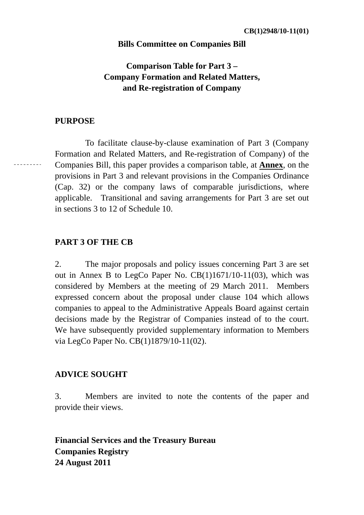#### **Bills Committee on Companies Bill**

# **Comparison Table for Part 3 – Company Formation and Related Matters, and Re-registration of Company**

## **PURPOSE**

 $- - - - - - - -$ 

 To facilitate clause-by-clause examination of Part 3 (Company Formation and Related Matters, and Re-registration of Company) of the Companies Bill, this paper provides a comparison table, at **Annex**, on the provisions in Part 3 and relevant provisions in the Companies Ordinance (Cap. 32) or the company laws of comparable jurisdictions, where applicable. Transitional and saving arrangements for Part 3 are set out in sections 3 to 12 of Schedule 10.

## **PART 3 OF THE CB**

2. The major proposals and policy issues concerning Part 3 are set out in Annex B to LegCo Paper No. CB(1)1671/10-11(03), which was considered by Members at the meeting of 29 March 2011. Members expressed concern about the proposal under clause 104 which allows companies to appeal to the Administrative Appeals Board against certain decisions made by the Registrar of Companies instead of to the court. We have subsequently provided supplementary information to Members via LegCo Paper No. CB(1)1879/10-11(02).

#### **ADVICE SOUGHT**

3. Members are invited to note the contents of the paper and provide their views.

**Financial Services and the Treasury Bureau Companies Registry 24 August 2011**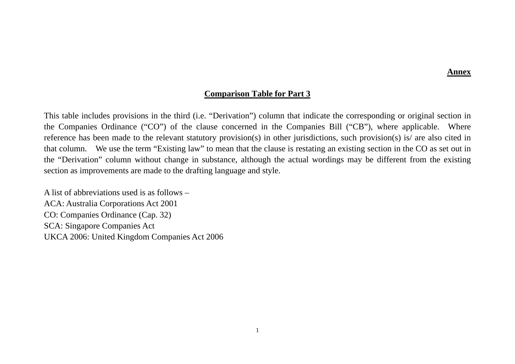#### **Annex**

#### **Comparison Table for Part 3**

This table includes provisions in the third (i.e. "Derivation") column that indicate the corresponding or original section in the Companies Ordinance ("CO") of the clause concerned in the Companies Bill ("CB"), where applicable. Where reference has been made to the relevant statutory provision(s) in other jurisdictions, such provision(s) is/ are also cited in that column. We use the term "Existing law" to mean that the clause is restating an existing section in the CO as set out in the "Derivation" column without change in substance, although the actual wordings may be different from the existing section as improvements are made to the drafting language and style.

A list of abbreviations used is as follows – ACA: Australia Corporations Act 2001 CO: Companies Ordinance (Cap. 32) SCA: Singapore Companies Act UKCA 2006: United Kingdom Companies Act 2006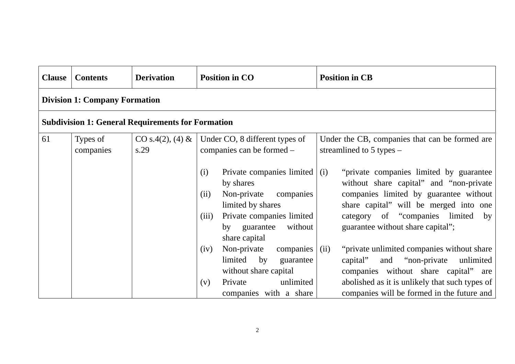| <b>Clause</b> | <b>Contents</b>                      | <b>Derivation</b>                                        | <b>Position in CO</b>                                                                                                                                                                                                                                                                                                          | <b>Position in CB</b>                                                                                                                                                                                                                                                                                                                                                                                                                            |
|---------------|--------------------------------------|----------------------------------------------------------|--------------------------------------------------------------------------------------------------------------------------------------------------------------------------------------------------------------------------------------------------------------------------------------------------------------------------------|--------------------------------------------------------------------------------------------------------------------------------------------------------------------------------------------------------------------------------------------------------------------------------------------------------------------------------------------------------------------------------------------------------------------------------------------------|
|               | <b>Division 1: Company Formation</b> |                                                          |                                                                                                                                                                                                                                                                                                                                |                                                                                                                                                                                                                                                                                                                                                                                                                                                  |
|               |                                      | <b>Subdivision 1: General Requirements for Formation</b> |                                                                                                                                                                                                                                                                                                                                |                                                                                                                                                                                                                                                                                                                                                                                                                                                  |
| 61            | Types of<br>companies                | $CO s.4(2), (4) \&$<br>s.29                              | Under CO, 8 different types of<br>companies can be formed –                                                                                                                                                                                                                                                                    | Under the CB, companies that can be formed are<br>streamlined to $5$ types $-$                                                                                                                                                                                                                                                                                                                                                                   |
|               |                                      |                                                          | Private companies limited $\vert$ (i)<br>(i)<br>by shares<br>Non-private<br>companies<br>(ii)<br>limited by shares<br>Private companies limited<br>(iii)<br>without<br>by guarantee<br>share capital<br>Non-private<br>companies<br>(iv)<br>limited<br>by<br>guarantee<br>without share capital<br>unlimited<br>Private<br>(v) | "private companies limited by guarantee"<br>without share capital" and "non-private<br>companies limited by guarantee without<br>share capital" will be merged into one<br>category of "companies limited by<br>guarantee without share capital";<br>"private unlimited companies without share"<br>(ii)<br>and "non-private"<br>unlimited<br>capital"<br>companies without share capital" are<br>abolished as it is unlikely that such types of |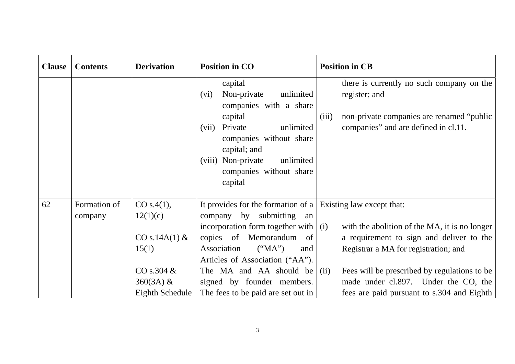| <b>Clause</b> | <b>Contents</b>         | <b>Derivation</b>                                                                                      | <b>Position in CO</b>                                                                                                                                                                                                                                                                                                                               | <b>Position in CB</b>                                                                                                                                                                                                                                                           |
|---------------|-------------------------|--------------------------------------------------------------------------------------------------------|-----------------------------------------------------------------------------------------------------------------------------------------------------------------------------------------------------------------------------------------------------------------------------------------------------------------------------------------------------|---------------------------------------------------------------------------------------------------------------------------------------------------------------------------------------------------------------------------------------------------------------------------------|
|               |                         |                                                                                                        | capital<br>Non-private<br>unlimited<br>(vi)<br>companies with a share<br>capital<br>unlimited<br>Private<br>(vii)<br>companies without share<br>capital; and<br>(viii) Non-private<br>unlimited<br>companies without share<br>capital                                                                                                               | there is currently no such company on the<br>register; and<br>(iii)<br>non-private companies are renamed "public"<br>companies" and are defined in cl.11.                                                                                                                       |
| 62            | Formation of<br>company | CO s.4(1),<br>12(1)(c)<br>$CO s.14A(1)$ &<br>15(1)<br>CO s.304 $\&$<br>$360(3A) \&$<br>Eighth Schedule | It provides for the formation of a $\vert$ Existing law except that:<br>company by submitting<br>an<br>incorporation form together with $\vert$ (i)<br>copies of Memorandum<br>of<br>Association<br>("MA")<br>and<br>Articles of Association ("AA").<br>The MA and AA should be<br>signed by founder members.<br>The fees to be paid are set out in | with the abolition of the MA, it is no longer<br>a requirement to sign and deliver to the<br>Registrar a MA for registration; and<br>Fees will be prescribed by regulations to be<br>(ii)<br>made under cl.897. Under the CO, the<br>fees are paid pursuant to s.304 and Eighth |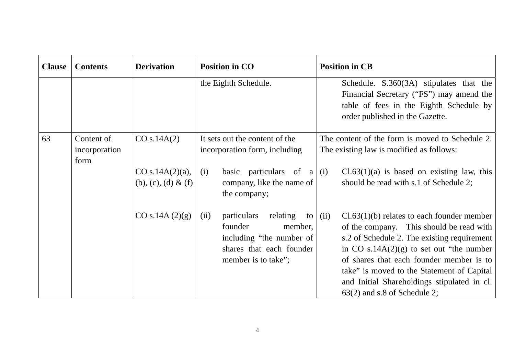| <b>Clause</b> | <b>Contents</b>                     | <b>Derivation</b>                          | <b>Position in CO</b>                                                                                                                   | <b>Position in CB</b>                                                                                                                                                                                                                                                                                                                                                     |
|---------------|-------------------------------------|--------------------------------------------|-----------------------------------------------------------------------------------------------------------------------------------------|---------------------------------------------------------------------------------------------------------------------------------------------------------------------------------------------------------------------------------------------------------------------------------------------------------------------------------------------------------------------------|
|               |                                     |                                            | the Eighth Schedule.                                                                                                                    | Schedule. S.360(3A) stipulates that the<br>Financial Secretary ("FS") may amend the<br>table of fees in the Eighth Schedule by<br>order published in the Gazette.                                                                                                                                                                                                         |
| 63            | Content of<br>incorporation<br>form | CO s.14A(2)                                | It sets out the content of the<br>incorporation form, including                                                                         | The content of the form is moved to Schedule 2.<br>The existing law is modified as follows:                                                                                                                                                                                                                                                                               |
|               |                                     | CO s.14A $(2)(a)$ ,<br>(b), (c), (d) & (f) | basic particulars of $a \mid$<br>(i)<br>company, like the name of<br>the company;                                                       | $Cl.63(1)(a)$ is based on existing law, this<br>(i)<br>should be read with s.1 of Schedule 2;                                                                                                                                                                                                                                                                             |
|               |                                     | CO s.14A (2)(g)                            | particulars relating<br>(ii)<br>to<br>founder<br>member,<br>including "the number of<br>shares that each founder<br>member is to take"; | $Cl.63(1)(b)$ relates to each founder member<br>(ii)<br>of the company. This should be read with<br>s.2 of Schedule 2. The existing requirement<br>in CO $s.14A(2)(g)$ to set out "the number"<br>of shares that each founder member is to<br>take" is moved to the Statement of Capital<br>and Initial Shareholdings stipulated in cl.<br>$63(2)$ and s.8 of Schedule 2; |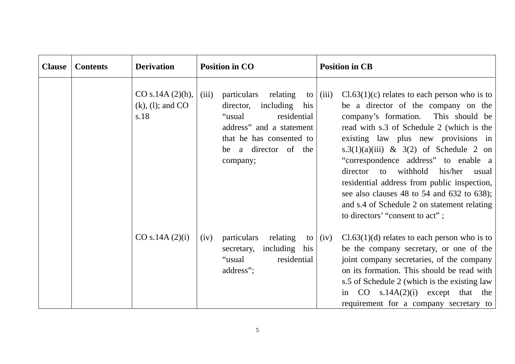| <b>Clause</b> | <b>Contents</b> | <b>Derivation</b>                                  | <b>Position in CO</b>                                                                                                                                                               | <b>Position in CB</b>                                                                                                                                                                                                                                                                                                                                                                                                                                                                                                                        |
|---------------|-----------------|----------------------------------------------------|-------------------------------------------------------------------------------------------------------------------------------------------------------------------------------------|----------------------------------------------------------------------------------------------------------------------------------------------------------------------------------------------------------------------------------------------------------------------------------------------------------------------------------------------------------------------------------------------------------------------------------------------------------------------------------------------------------------------------------------------|
|               |                 | CO s.14A $(2)$ (h),<br>$(k)$ , (1); and CO<br>s.18 | particulars relating<br>(iii)<br>to<br>director, including his<br>residential<br>"usual<br>address" and a statement<br>that he has consented to<br>be a director of the<br>company; | $Cl.63(1)(c)$ relates to each person who is to<br>(iii)<br>be a director of the company on the<br>company's formation. This should be<br>read with s.3 of Schedule 2 (which is the<br>existing law plus new provisions in<br>s.3(1)(a)(iii) & 3(2) of Schedule 2 on<br>"correspondence address" to enable a<br>withhold<br>his/her<br>director<br>to<br>usual<br>residential address from public inspection,<br>see also clauses 48 to 54 and 632 to 638);<br>and s.4 of Schedule 2 on statement relating<br>to directors' "consent to act"; |
|               |                 | CO s.14A (2)(i)                                    | particulars<br>relating<br>(iv)<br>to<br>including his<br>secretary,<br>"usual<br>residential<br>address";                                                                          | $Cl.63(1)(d)$ relates to each person who is to<br>(iv)<br>be the company secretary, or one of the<br>joint company secretaries, of the company<br>on its formation. This should be read with<br>s.5 of Schedule 2 (which is the existing law<br>s.14A $(2)(i)$ except that the<br>in CO<br>requirement for a company secretary to                                                                                                                                                                                                            |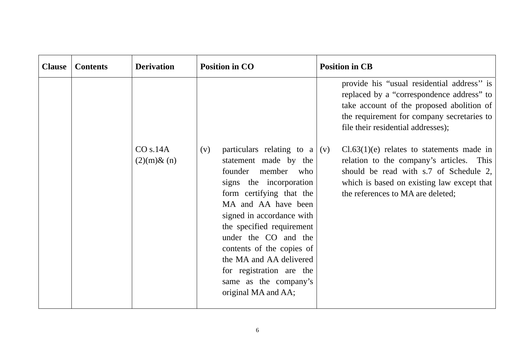| <b>Clause</b> | <b>Contents</b> | <b>Derivation</b>            | <b>Position in CO</b>                                                                                                                                                                                                                                                                                                                                                                           | <b>Position in CB</b>                                                                                                                                                                                                    |
|---------------|-----------------|------------------------------|-------------------------------------------------------------------------------------------------------------------------------------------------------------------------------------------------------------------------------------------------------------------------------------------------------------------------------------------------------------------------------------------------|--------------------------------------------------------------------------------------------------------------------------------------------------------------------------------------------------------------------------|
|               |                 |                              |                                                                                                                                                                                                                                                                                                                                                                                                 | provide his "usual residential address" is<br>replaced by a "correspondence address" to<br>take account of the proposed abolition of<br>the requirement for company secretaries to<br>file their residential addresses); |
|               |                 | CO s.14A<br>$(2)(m)$ & $(n)$ | particulars relating to $a (v)$<br>(v)<br>statement made by the<br>founder<br>member<br>who<br>signs the incorporation<br>form certifying that the<br>MA and AA have been<br>signed in accordance with<br>the specified requirement<br>under the CO and the<br>contents of the copies of<br>the MA and AA delivered<br>for registration are the<br>same as the company's<br>original MA and AA; | $Cl.63(1)(e)$ relates to statements made in<br>relation to the company's articles. This<br>should be read with s.7 of Schedule 2,<br>which is based on existing law except that<br>the references to MA are deleted;     |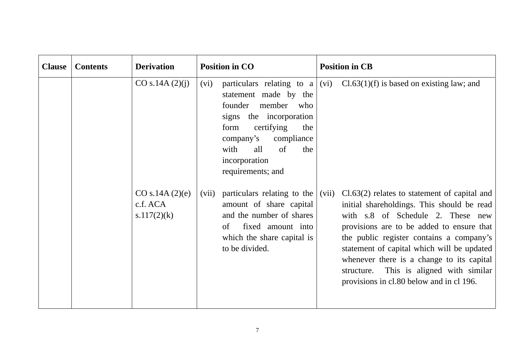| <b>Clause</b> | <b>Contents</b> | <b>Derivation</b>                          | <b>Position in CO</b>                                                                                                                                                                                          | <b>Position in CB</b>                                                                                                                                                                                                                                                                                                                                                                                                    |
|---------------|-----------------|--------------------------------------------|----------------------------------------------------------------------------------------------------------------------------------------------------------------------------------------------------------------|--------------------------------------------------------------------------------------------------------------------------------------------------------------------------------------------------------------------------------------------------------------------------------------------------------------------------------------------------------------------------------------------------------------------------|
|               |                 | CO s.14A (2)(j)                            | (vi)<br>statement made by the<br>founder<br>member<br>who<br>signs the incorporation<br>certifying<br>form<br>the<br>compliance<br>company's<br>with<br>all<br>of<br>the<br>incorporation<br>requirements; and | particulars relating to a $ (vi)$ Cl.63(1)(f) is based on existing law; and                                                                                                                                                                                                                                                                                                                                              |
|               |                 | CO s.14A (2)(e)<br>c.f. ACA<br>s.117(2)(k) | particulars relating to the<br>(vii)<br>amount of share capital<br>and the number of shares<br>fixed amount into<br>of<br>which the share capital is<br>to be divided.                                         | $Cl.63(2)$ relates to statement of capital and<br>(vii)<br>initial shareholdings. This should be read<br>with s.8 of Schedule 2. These new<br>provisions are to be added to ensure that<br>the public register contains a company's<br>statement of capital which will be updated<br>whenever there is a change to its capital<br>This is aligned with similar<br>structure.<br>provisions in cl.80 below and in cl 196. |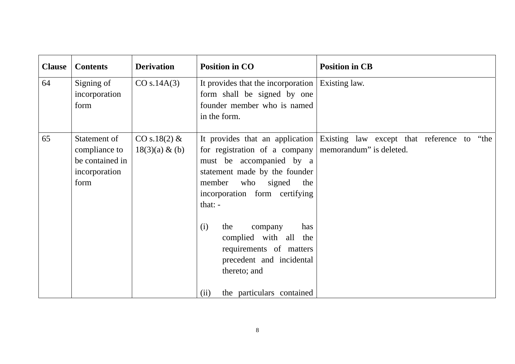| <b>Clause</b> | <b>Contents</b>                                                           | <b>Derivation</b>                 | <b>Position in CO</b>                                                                                                                                                                                                                                                                                | <b>Position in CB</b>                                                                                 |
|---------------|---------------------------------------------------------------------------|-----------------------------------|------------------------------------------------------------------------------------------------------------------------------------------------------------------------------------------------------------------------------------------------------------------------------------------------------|-------------------------------------------------------------------------------------------------------|
| 64            | Signing of<br>incorporation<br>form                                       | CO s.14A(3)                       | It provides that the incorporation<br>form shall be signed by one<br>founder member who is named<br>in the form.                                                                                                                                                                                     | Existing law.                                                                                         |
| 65            | Statement of<br>compliance to<br>be contained in<br>incorporation<br>form | CO s.18(2) &<br>$18(3)(a) \& (b)$ | for registration of a company<br>must be accompanied by a<br>statement made by the founder<br>member who signed<br>the<br>incorporation form certifying<br>that: $-$<br>the<br>has<br>(i)<br>company<br>complied with all the<br>requirements of matters<br>precedent and incidental<br>thereto; and | It provides that an application Existing law except that reference to "the<br>memorandum" is deleted. |
|               |                                                                           |                                   | the particulars contained<br>(ii)                                                                                                                                                                                                                                                                    |                                                                                                       |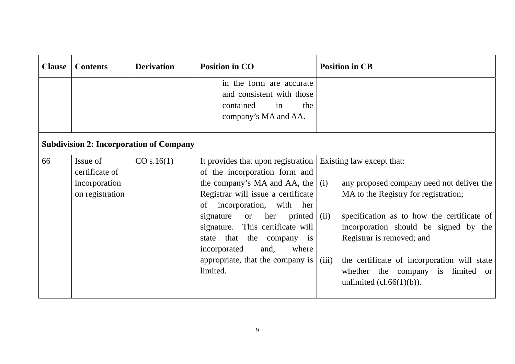| <b>Clause</b> | <b>Contents</b>                                                | <b>Derivation</b>                              | <b>Position in CO</b>                                                                                                                                                                                                                                                                                                                                                                                       | <b>Position in CB</b>                                                                                                                                                                                                                                                                                                                                                    |
|---------------|----------------------------------------------------------------|------------------------------------------------|-------------------------------------------------------------------------------------------------------------------------------------------------------------------------------------------------------------------------------------------------------------------------------------------------------------------------------------------------------------------------------------------------------------|--------------------------------------------------------------------------------------------------------------------------------------------------------------------------------------------------------------------------------------------------------------------------------------------------------------------------------------------------------------------------|
|               |                                                                |                                                | in the form are accurate<br>and consistent with those<br>contained<br>in<br>the<br>company's MA and AA.                                                                                                                                                                                                                                                                                                     |                                                                                                                                                                                                                                                                                                                                                                          |
|               |                                                                | <b>Subdivision 2: Incorporation of Company</b> |                                                                                                                                                                                                                                                                                                                                                                                                             |                                                                                                                                                                                                                                                                                                                                                                          |
| 66            | Issue of<br>certificate of<br>incorporation<br>on registration | CO s.16(1)                                     | It provides that upon registration<br>of the incorporation form and<br>the company's MA and AA, the $\vert$ (i)<br>Registrar will issue a certificate<br>incorporation, with<br>of<br>her<br>her<br>printed $\vert$ (ii)<br>signature<br><sub>or</sub><br>signature. This certificate will<br>that the company is<br>state<br>incorporated<br>and,<br>where<br>appropriate, that the company is<br>limited. | Existing law except that:<br>any proposed company need not deliver the<br>MA to the Registry for registration;<br>specification as to how the certificate of<br>incorporation should be signed by the<br>Registrar is removed; and<br>the certificate of incorporation will state<br>(iii)<br>whether the company is limited<br><b>or</b><br>unlimited $(cl.66(1)(b))$ . |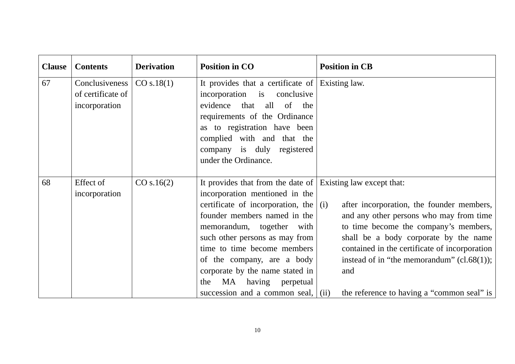| <b>Clause</b> | <b>Contents</b>                                      | <b>Derivation</b> | <b>Position in CO</b>                                                                                                                                                                                                                                                                                                                                                                                             | <b>Position in CB</b>                                                                                                                                                                                                                                                                                                        |
|---------------|------------------------------------------------------|-------------------|-------------------------------------------------------------------------------------------------------------------------------------------------------------------------------------------------------------------------------------------------------------------------------------------------------------------------------------------------------------------------------------------------------------------|------------------------------------------------------------------------------------------------------------------------------------------------------------------------------------------------------------------------------------------------------------------------------------------------------------------------------|
| 67            | Conclusiveness<br>of certificate of<br>incorporation | CO s.18(1)        | It provides that a certificate of Existing law.<br>incorporation is conclusive<br>evidence that<br>all of<br>the<br>requirements of the Ordinance<br>as to registration have been<br>complied with and that the<br>company is duly registered<br>under the Ordinance.                                                                                                                                             |                                                                                                                                                                                                                                                                                                                              |
| 68            | Effect of<br>incorporation                           | CO s.16(2)        | It provides that from the date of Existing law except that:<br>incorporation mentioned in the<br>certificate of incorporation, the $(i)$<br>founder members named in the<br>memorandum, together with<br>such other persons as may from<br>time to time become members<br>of the company, are a body<br>corporate by the name stated in<br>MA having<br>the<br>perpetual<br>succession and a common seal, $(iii)$ | after incorporation, the founder members,<br>and any other persons who may from time<br>to time become the company's members,<br>shall be a body corporate by the name<br>contained in the certificate of incorporation<br>instead of in "the memorandum" $(cl.68(1));$<br>and<br>the reference to having a "common seal" is |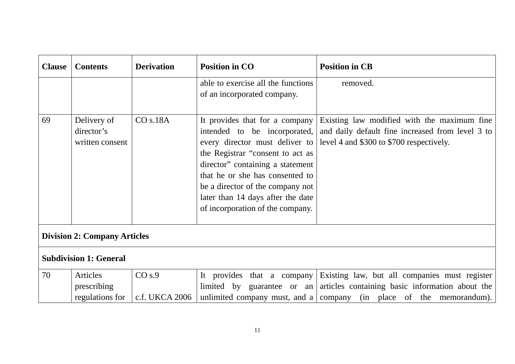| <b>Clause</b>                       | <b>Contents</b>                              | <b>Derivation</b>                   | <b>Position in CO</b>                                                                                                                                                                                                                                                                                                    | <b>Position in CB</b>                                                                                                                                                   |  |
|-------------------------------------|----------------------------------------------|-------------------------------------|--------------------------------------------------------------------------------------------------------------------------------------------------------------------------------------------------------------------------------------------------------------------------------------------------------------------------|-------------------------------------------------------------------------------------------------------------------------------------------------------------------------|--|
|                                     |                                              |                                     | able to exercise all the functions<br>of an incorporated company.                                                                                                                                                                                                                                                        | removed.                                                                                                                                                                |  |
| 69                                  | Delivery of<br>director's<br>written consent | CO s.18A                            | It provides that for a company<br>intended to be incorporated,<br>every director must deliver to<br>the Registrar "consent to act as<br>director" containing a statement<br>that he or she has consented to<br>be a director of the company not<br>later than 14 days after the date<br>of incorporation of the company. | Existing law modified with the maximum fine<br>and daily default fine increased from level 3 to<br>level 4 and \$300 to \$700 respectively.                             |  |
| <b>Division 2: Company Articles</b> |                                              |                                     |                                                                                                                                                                                                                                                                                                                          |                                                                                                                                                                         |  |
|                                     | <b>Subdivision 1: General</b>                |                                     |                                                                                                                                                                                                                                                                                                                          |                                                                                                                                                                         |  |
| 70                                  | Articles<br>prescribing<br>regulations for   | CO <sub>s.9</sub><br>c.f. UKCA 2006 | It provides that a company<br>limited by guarantee or an                                                                                                                                                                                                                                                                 | Existing law, but all companies must register<br>articles containing basic information about the<br>unlimited company must, and a company (in place of the memorandum). |  |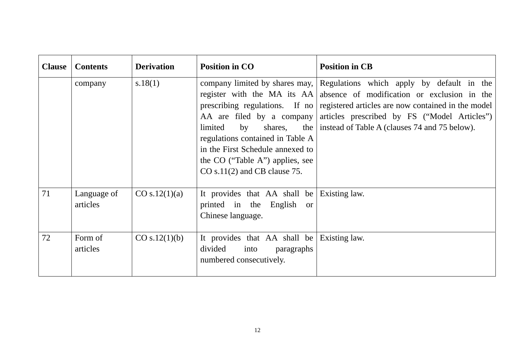| <b>Clause</b> | <b>Contents</b>         | <b>Derivation</b> | <b>Position in CO</b>                                                                                                                                                                              | <b>Position in CB</b>                                                                                                                                                                                                                                                                                                                           |
|---------------|-------------------------|-------------------|----------------------------------------------------------------------------------------------------------------------------------------------------------------------------------------------------|-------------------------------------------------------------------------------------------------------------------------------------------------------------------------------------------------------------------------------------------------------------------------------------------------------------------------------------------------|
|               | company                 | s.18(1)           | AA are filed by a company<br>shares,<br>limited<br>by<br>regulations contained in Table A<br>in the First Schedule annexed to<br>the CO ("Table A") applies, see<br>$CO s.11(2)$ and CB clause 75. | company limited by shares may, Regulations which apply by default in the<br>register with the MA its AA absence of modification or exclusion in the<br>prescribing regulations. If no registered articles are now contained in the model<br>articles prescribed by FS ("Model Articles")<br>the   instead of Table A (clauses 74 and 75 below). |
| 71            | Language of<br>articles | CO s.12(1)(a)     | It provides that AA shall be<br>printed in the English<br><sub>or</sub><br>Chinese language.                                                                                                       | Existing law.                                                                                                                                                                                                                                                                                                                                   |
| 72            | Form of<br>articles     | CO s.12(1)(b)     | It provides that AA shall be<br>divided<br>into<br>paragraphs<br>numbered consecutively.                                                                                                           | Existing law.                                                                                                                                                                                                                                                                                                                                   |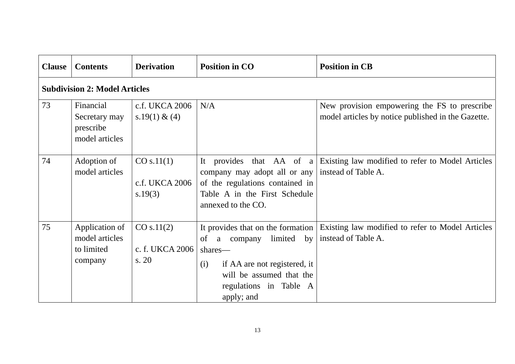| <b>Clause</b> | <b>Contents</b>                                           | <b>Derivation</b>                       | <b>Position in CO</b>                                                                                                                                                                       | <b>Position in CB</b>                                                                              |
|---------------|-----------------------------------------------------------|-----------------------------------------|---------------------------------------------------------------------------------------------------------------------------------------------------------------------------------------------|----------------------------------------------------------------------------------------------------|
|               | <b>Subdivision 2: Model Articles</b>                      |                                         |                                                                                                                                                                                             |                                                                                                    |
| 73            | Financial<br>Secretary may<br>prescribe<br>model articles | c.f. UKCA 2006<br>s.19(1) & (4)         | N/A                                                                                                                                                                                         | New provision empowering the FS to prescribe<br>model articles by notice published in the Gazette. |
| 74            | Adoption of<br>model articles                             | CO s.11(1)<br>c.f. UKCA 2006<br>s.19(3) | It provides that $AA$ of a<br>company may adopt all or any<br>of the regulations contained in<br>Table A in the First Schedule<br>annexed to the CO.                                        | Existing law modified to refer to Model Articles<br>instead of Table A.                            |
| 75            | Application of<br>model articles<br>to limited<br>company | CO s.11(2)<br>c. f. UKCA 2006<br>s. 20  | It provides that on the formation<br>limited<br>by<br>of<br>a company<br>shares—<br>if AA are not registered, it<br>(i)<br>will be assumed that the<br>regulations in Table A<br>apply; and | Existing law modified to refer to Model Articles<br>instead of Table A.                            |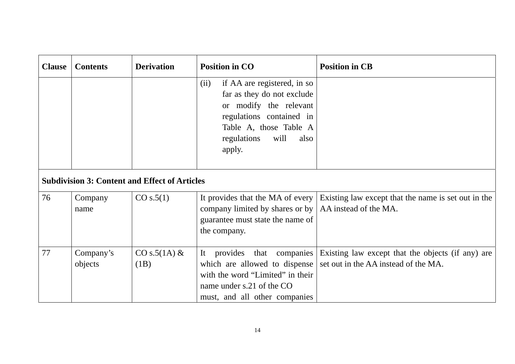| <b>Clause</b> | <b>Contents</b>      | <b>Derivation</b>                                    | <b>Position in CO</b>                                                                                                                                                                      | <b>Position in CB</b>                                                                                                |
|---------------|----------------------|------------------------------------------------------|--------------------------------------------------------------------------------------------------------------------------------------------------------------------------------------------|----------------------------------------------------------------------------------------------------------------------|
|               |                      |                                                      | if AA are registered, in so<br>(ii)<br>far as they do not exclude<br>or modify the relevant<br>regulations contained in<br>Table A, those Table A<br>regulations<br>will<br>also<br>apply. |                                                                                                                      |
|               |                      | <b>Subdivision 3: Content and Effect of Articles</b> |                                                                                                                                                                                            |                                                                                                                      |
| 76            | Company<br>name      | CO s.5(1)                                            | It provides that the MA of every<br>company limited by shares or by   AA instead of the MA.<br>guarantee must state the name of<br>the company.                                            | Existing law except that the name is set out in the                                                                  |
| 77            | Company's<br>objects | $CO s.5(1A) \&$<br>(1B)                              | which are allowed to dispense<br>with the word "Limited" in their<br>name under s.21 of the CO<br>must, and all other companies                                                            | It provides that companies Existing law except that the objects (if any) are<br>set out in the AA instead of the MA. |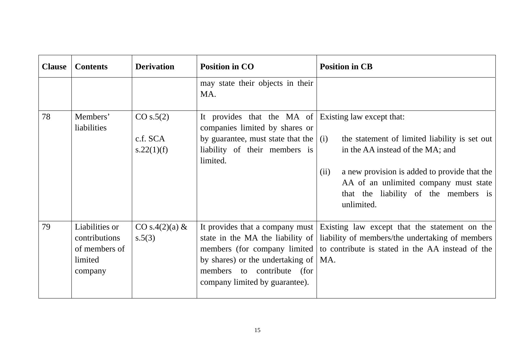| <b>Clause</b> | <b>Contents</b>                                                        | <b>Derivation</b>                   | <b>Position in CO</b>                                                                                                                                                                | <b>Position in CB</b>                                                                                                                                                                                                                              |
|---------------|------------------------------------------------------------------------|-------------------------------------|--------------------------------------------------------------------------------------------------------------------------------------------------------------------------------------|----------------------------------------------------------------------------------------------------------------------------------------------------------------------------------------------------------------------------------------------------|
|               |                                                                        |                                     | may state their objects in their<br>MA.                                                                                                                                              |                                                                                                                                                                                                                                                    |
| 78            | Members'<br>liabilities                                                | CO s.5(2)<br>c.f. SCA<br>s.22(1)(f) | It provides that the MA of Existing law except that:<br>companies limited by shares or<br>by guarantee, must state that the $\vert$ (i)<br>liability of their members is<br>limited. | the statement of limited liability is set out<br>in the AA instead of the MA; and<br>a new provision is added to provide that the<br>(ii)<br>AA of an unlimited company must state<br>that the liability of the members is<br>unlimited.           |
| 79            | Liabilities or<br>contributions<br>of members of<br>limited<br>company | CO s.4 $(2)(a)$ &<br>s.5(3)         | by shares) or the undertaking of $  MA$ .<br>members to contribute (for<br>company limited by guarantee).                                                                            | It provides that a company must Existing law except that the statement on the<br>state in the MA the liability of liability of members/the undertaking of members<br>members (for company limited to contribute is stated in the AA instead of the |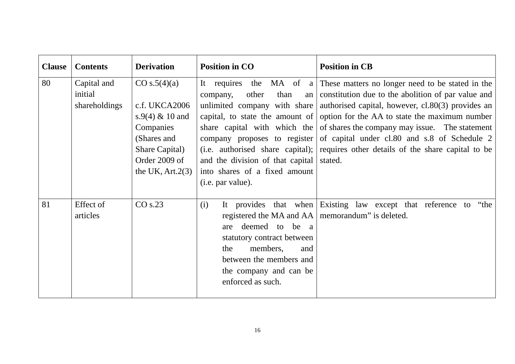| <b>Clause</b> | <b>Contents</b>                         | <b>Derivation</b>                                                                                                                       | <b>Position in CO</b>                                                                                                                                                                                                | <b>Position in CB</b>                                                                                                                                                                                                                                                                                                                                                                                                                                                                                   |
|---------------|-----------------------------------------|-----------------------------------------------------------------------------------------------------------------------------------------|----------------------------------------------------------------------------------------------------------------------------------------------------------------------------------------------------------------------|---------------------------------------------------------------------------------------------------------------------------------------------------------------------------------------------------------------------------------------------------------------------------------------------------------------------------------------------------------------------------------------------------------------------------------------------------------------------------------------------------------|
| 80            | Capital and<br>initial<br>shareholdings | CO s.5(4)(a)<br>c.f. UKCA2006<br>s.9(4) $& 10$ and<br>Companies<br>(Shares and<br>Share Capital)<br>Order 2009 of<br>the UK, $Art.2(3)$ | other<br>than<br>company,<br>company proposes to register<br>(i.e. authorised share capital);<br>and the division of that capital<br>into shares of a fixed amount<br>(i.e. par value).                              | It requires the MA of a These matters no longer need to be stated in the<br>an constitution due to the abolition of par value and<br>unlimited company with share   authorised capital, however, $c1.80(3)$ provides an<br>capital, to state the amount of option for the AA to state the maximum number<br>share capital with which the of shares the company may issue. The statement<br>of capital under cl.80 and s.8 of Schedule 2<br>requires other details of the share capital to be<br>stated. |
| 81            | Effect of<br>articles                   | CO s.23                                                                                                                                 | (i)<br>registered the MA and AA   memorandum" is deleted.<br>deemed to be a<br>are<br>statutory contract between<br>members,<br>the<br>and<br>between the members and<br>the company and can be<br>enforced as such. | It provides that when Existing law except that reference to "the                                                                                                                                                                                                                                                                                                                                                                                                                                        |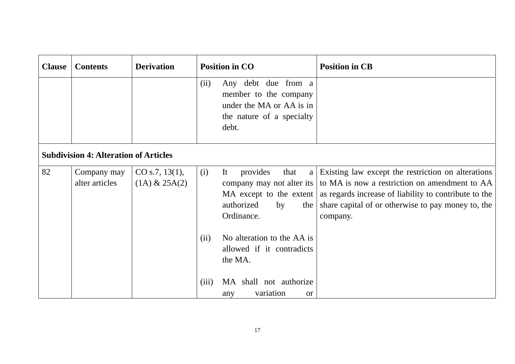| <b>Clause</b> | <b>Contents</b>                              | <b>Derivation</b>                    |       | <b>Position in CO</b>                                                                                                        | <b>Position in CB</b>                                                                                                                                                                                                          |
|---------------|----------------------------------------------|--------------------------------------|-------|------------------------------------------------------------------------------------------------------------------------------|--------------------------------------------------------------------------------------------------------------------------------------------------------------------------------------------------------------------------------|
|               |                                              |                                      | (ii)  | Any debt due from a<br>member to the company<br>under the MA or AA is in<br>the nature of a specialty<br>debt.               |                                                                                                                                                                                                                                |
|               | <b>Subdivision 4: Alteration of Articles</b> |                                      |       |                                                                                                                              |                                                                                                                                                                                                                                |
| 82            | Company may<br>alter articles                | CO s.7, 13(1),<br>$(1A)$ & 25A $(2)$ | (i)   | It<br>provides<br>that<br>a<br>company may not alter its<br>MA except to the extent<br>authorized<br>by<br>the<br>Ordinance. | Existing law except the restriction on alterations<br>to MA is now a restriction on amendment to AA<br>as regards increase of liability to contribute to the<br>share capital of or otherwise to pay money to, the<br>company. |
|               |                                              |                                      | (ii)  | No alteration to the AA is<br>allowed if it contradicts<br>the MA.                                                           |                                                                                                                                                                                                                                |
|               |                                              |                                      | (iii) | MA shall not authorize<br>variation<br>any<br><b>or</b>                                                                      |                                                                                                                                                                                                                                |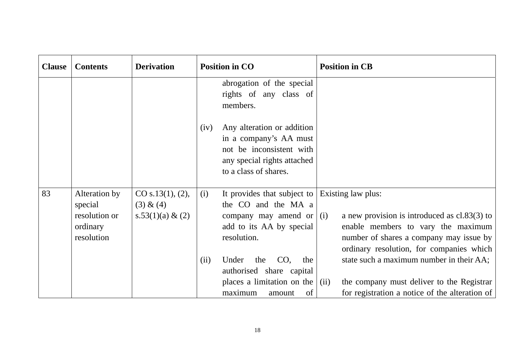| <b>Clause</b> | <b>Contents</b>                                                     | <b>Derivation</b>                                    | <b>Position in CO</b>                                                                                                                                                    | <b>Position in CB</b>                                                                                                                                                                                                                         |
|---------------|---------------------------------------------------------------------|------------------------------------------------------|--------------------------------------------------------------------------------------------------------------------------------------------------------------------------|-----------------------------------------------------------------------------------------------------------------------------------------------------------------------------------------------------------------------------------------------|
|               |                                                                     |                                                      | abrogation of the special<br>rights of any class of<br>members.                                                                                                          |                                                                                                                                                                                                                                               |
|               |                                                                     |                                                      | Any alteration or addition<br>(iv)<br>in a company's AA must<br>not be inconsistent with<br>any special rights attached<br>to a class of shares.                         |                                                                                                                                                                                                                                               |
| 83            | Alteration by<br>special<br>resolution or<br>ordinary<br>resolution | CO s.13(1), (2),<br>(3) & (4)<br>$s.53(1)(a) \& (2)$ | It provides that subject to<br>(i)<br>the CO and the MA a<br>company may amend or $(i)$<br>add to its AA by special<br>resolution.<br>CO,<br>(ii)<br>Under<br>the<br>the | Existing law plus:<br>a new provision is introduced as $cl.83(3)$ to<br>enable members to vary the maximum<br>number of shares a company may issue by<br>ordinary resolution, for companies which<br>state such a maximum number in their AA; |
|               |                                                                     |                                                      | authorised share capital<br>places a limitation on the $\vert$ (ii)<br>maximum<br>of<br>amount                                                                           | the company must deliver to the Registrar<br>for registration a notice of the alteration of                                                                                                                                                   |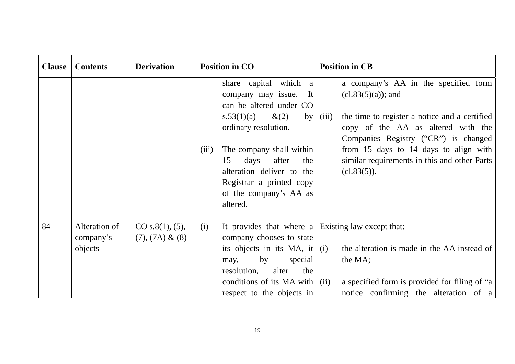| <b>Clause</b> | <b>Contents</b>            | <b>Derivation</b>                     | <b>Position in CO</b>                                                                                                                          |                                                                                                      | <b>Position in CB</b>                                                                                                                            |
|---------------|----------------------------|---------------------------------------|------------------------------------------------------------------------------------------------------------------------------------------------|------------------------------------------------------------------------------------------------------|--------------------------------------------------------------------------------------------------------------------------------------------------|
|               |                            |                                       | share capital which a<br>company may issue.<br>can be altered under CO<br>s.53(1)(a)                                                           | It<br>$\&(2)$<br>by<br>(iii)                                                                         | a company's AA in the specified form<br>$(cl.83(5)(a))$ ; and<br>the time to register a notice and a certified                                   |
|               |                            |                                       | ordinary resolution.                                                                                                                           |                                                                                                      | copy of the AA as altered with the<br>Companies Registry ("CR") is changed                                                                       |
|               |                            |                                       | The company shall within<br>(iii)<br>days<br>15<br>alteration deliver to the<br>Registrar a printed copy<br>of the company's AA as<br>altered. | after<br>the                                                                                         | from 15 days to 14 days to align with<br>similar requirements in this and other Parts<br>(c1.83(5)).                                             |
| 84            | Alteration of<br>company's | CO s.8(1), (5),<br>$(7), (7A) \& (8)$ | (i)<br>company chooses to state                                                                                                                |                                                                                                      | It provides that where $a \mid$ Existing law except that:                                                                                        |
|               | objects                    |                                       | by<br>may,<br>resolution,<br>respect to the objects in                                                                                         | its objects in its MA, it $(i)$<br>special<br>alter<br>the<br>conditions of its MA with $\vert$ (ii) | the alteration is made in the AA instead of<br>the MA;<br>a specified form is provided for filing of "a<br>notice confirming the alteration of a |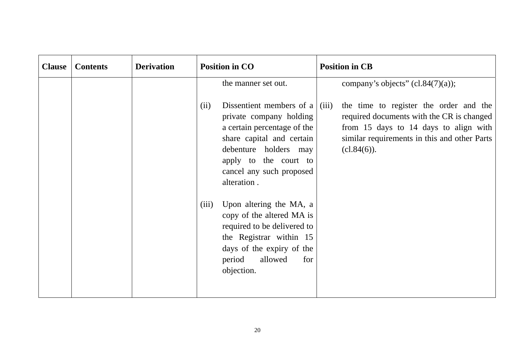| <b>Clause</b> | <b>Contents</b> | <b>Derivation</b> | <b>Position in CO</b>                                                                                                                                                                                                | <b>Position in CB</b>                                                                                                                                                                                 |
|---------------|-----------------|-------------------|----------------------------------------------------------------------------------------------------------------------------------------------------------------------------------------------------------------------|-------------------------------------------------------------------------------------------------------------------------------------------------------------------------------------------------------|
|               |                 |                   | the manner set out.                                                                                                                                                                                                  | company's objects" $(cl.84(7)(a))$ ;                                                                                                                                                                  |
|               |                 |                   | Dissentient members of a<br>(ii)<br>private company holding<br>a certain percentage of the<br>share capital and certain<br>debenture holders may<br>apply to the court to<br>cancel any such proposed<br>alteration. | the time to register the order and the<br>(iii)<br>required documents with the CR is changed<br>from 15 days to 14 days to align with<br>similar requirements in this and other Parts<br>$cl.84(6)$ . |
|               |                 |                   | Upon altering the MA, a<br>(iii)<br>copy of the altered MA is<br>required to be delivered to<br>the Registrar within 15<br>days of the expiry of the<br>period<br>allowed<br>for<br>objection.                       |                                                                                                                                                                                                       |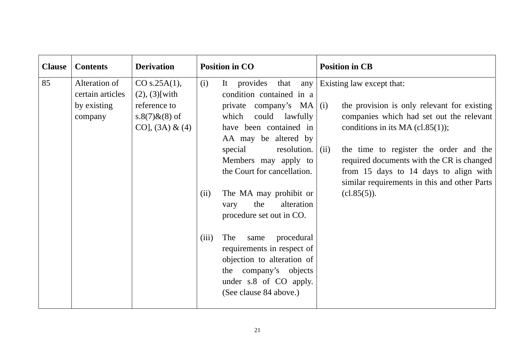| <b>Clause</b> | <b>Contents</b>                                             | <b>Derivation</b>                                                                            |                      | <b>Position in CO</b>                                                                                                                                                                                                                                                                                                                                                                                                                                                                                                | <b>Position in CB</b>                                                                                                                                                                                                                                                                                                                                       |
|---------------|-------------------------------------------------------------|----------------------------------------------------------------------------------------------|----------------------|----------------------------------------------------------------------------------------------------------------------------------------------------------------------------------------------------------------------------------------------------------------------------------------------------------------------------------------------------------------------------------------------------------------------------------------------------------------------------------------------------------------------|-------------------------------------------------------------------------------------------------------------------------------------------------------------------------------------------------------------------------------------------------------------------------------------------------------------------------------------------------------------|
| 85            | Alteration of<br>certain articles<br>by existing<br>company | CO s.25A(1),<br>$(2), (3)$ [with]<br>reference to<br>s.8(7) $\&$ (8) of<br>CO], $(3A) & (4)$ | (i)<br>(ii)<br>(iii) | It provides that<br>any<br>condition contained in a<br>private company's $MA   (i)$<br>which could lawfully<br>have been contained in<br>AA may be altered by<br>resolution. $\vert$ (ii)<br>special<br>Members may apply to<br>the Court for cancellation.<br>The MA may prohibit or<br>alteration<br>the<br>vary<br>procedure set out in CO.<br>The<br>procedural<br>same<br>requirements in respect of<br>objection to alteration of<br>the company's objects<br>under s.8 of CO apply.<br>(See clause 84 above.) | Existing law except that:<br>the provision is only relevant for existing<br>companies which had set out the relevant<br>conditions in its MA $(cl.85(1))$ ;<br>the time to register the order and the<br>required documents with the CR is changed<br>from 15 days to 14 days to align with<br>similar requirements in this and other Parts<br>$cl.85(5)$ . |
|               |                                                             |                                                                                              |                      |                                                                                                                                                                                                                                                                                                                                                                                                                                                                                                                      |                                                                                                                                                                                                                                                                                                                                                             |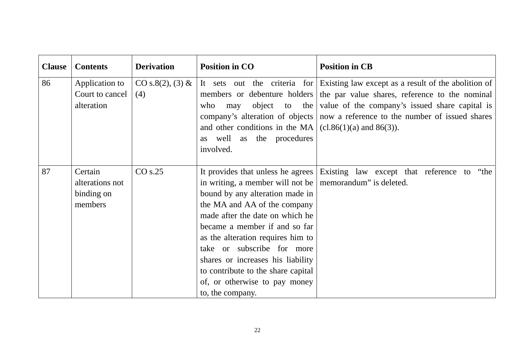| <b>Clause</b> | <b>Contents</b>                                     | <b>Derivation</b>       | <b>Position in CO</b>                                                                                                                                                                                                                                                                                                                                                                                                                           | <b>Position in CB</b>                                                                                                                                                                                                                                                                                               |
|---------------|-----------------------------------------------------|-------------------------|-------------------------------------------------------------------------------------------------------------------------------------------------------------------------------------------------------------------------------------------------------------------------------------------------------------------------------------------------------------------------------------------------------------------------------------------------|---------------------------------------------------------------------------------------------------------------------------------------------------------------------------------------------------------------------------------------------------------------------------------------------------------------------|
| 86            | Application to<br>Court to cancel<br>alteration     | CO s.8(2), (3) &<br>(4) | who<br>may<br>and other conditions in the MA $ $ (cl.86(1)(a) and 86(3)).<br>as well as the procedures<br>involved.                                                                                                                                                                                                                                                                                                                             | It sets out the criteria for Existing law except as a result of the abolition of<br>members or debenture holders the par value shares, reference to the nominal<br>object to the value of the company's issued share capital is<br>company's alteration of objects   now a reference to the number of issued shares |
| 87            | Certain<br>alterations not<br>binding on<br>members | CO s.25                 | It provides that unless he agrees<br>in writing, a member will not be $\vert$ memorandum" is deleted.<br>bound by any alteration made in<br>the MA and AA of the company<br>made after the date on which he<br>became a member if and so far<br>as the alteration requires him to<br>take or subscribe for more<br>shares or increases his liability<br>to contribute to the share capital<br>of, or otherwise to pay money<br>to, the company. | Existing law except that reference to "the                                                                                                                                                                                                                                                                          |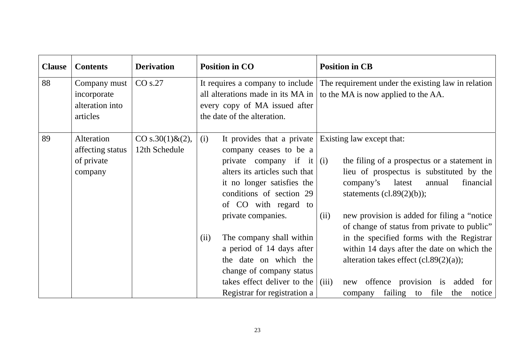| <b>Clause</b> | <b>Contents</b>                                            | <b>Derivation</b>                    | <b>Position in CO</b><br><b>Position in CB</b>                                                                                                                                                                                                                                                                                                                                                                                                                                                                                                                                                                                                                                                                                                                                     |
|---------------|------------------------------------------------------------|--------------------------------------|------------------------------------------------------------------------------------------------------------------------------------------------------------------------------------------------------------------------------------------------------------------------------------------------------------------------------------------------------------------------------------------------------------------------------------------------------------------------------------------------------------------------------------------------------------------------------------------------------------------------------------------------------------------------------------------------------------------------------------------------------------------------------------|
| 88            | Company must<br>incorporate<br>alteration into<br>articles | CO s.27                              | The requirement under the existing law in relation<br>It requires a company to include<br>all alterations made in its MA in  <br>to the MA is now applied to the AA.<br>every copy of MA issued after<br>the date of the alteration.                                                                                                                                                                                                                                                                                                                                                                                                                                                                                                                                               |
| 89            | Alteration<br>affecting status<br>of private<br>company    | CO s.30(1) $& 2$ ),<br>12th Schedule | It provides that a private<br>(i)<br>Existing law except that:<br>company ceases to be a<br>private company if it $(i)$<br>the filing of a prospectus or a statement in<br>alters its articles such that<br>lieu of prospectus is substituted by the<br>it no longer satisfies the<br>company's<br>latest<br>annual<br>financial<br>conditions of section 29<br>statements $(cl.89(2)(b));$<br>of CO with regard to<br>private companies.<br>new provision is added for filing a "notice"<br>(ii)<br>of change of status from private to public"<br>in the specified forms with the Registrar<br>The company shall within<br>(ii)<br>a period of 14 days after<br>within 14 days after the date on which the<br>the date on which the<br>alteration takes effect $(cl.89(2)(a))$ ; |
|               |                                                            |                                      | change of company status<br>takes effect deliver to the $\vert$ (iii)<br>new offence provision is added for<br>Registrar for registration a<br>failing to file the notice<br>company                                                                                                                                                                                                                                                                                                                                                                                                                                                                                                                                                                                               |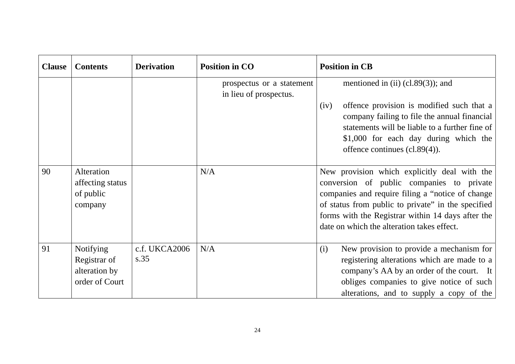| <b>Clause</b> | <b>Contents</b>                                                     | <b>Derivation</b>     | <b>Position in CO</b>                               | <b>Position in CB</b>                                                                                                                                                                                                                                                                                   |
|---------------|---------------------------------------------------------------------|-----------------------|-----------------------------------------------------|---------------------------------------------------------------------------------------------------------------------------------------------------------------------------------------------------------------------------------------------------------------------------------------------------------|
|               |                                                                     |                       | prospectus or a statement<br>in lieu of prospectus. | mentioned in (ii) $(cl.89(3))$ ; and                                                                                                                                                                                                                                                                    |
|               |                                                                     |                       |                                                     | offence provision is modified such that a<br>(iv)<br>company failing to file the annual financial<br>statements will be liable to a further fine of<br>\$1,000 for each day during which the<br>offence continues $(c1.89(4))$ .                                                                        |
| 90            | Alteration<br>affecting status<br>of public<br>company              |                       | N/A                                                 | New provision which explicitly deal with the<br>conversion of public companies to private<br>companies and require filing a "notice of change"<br>of status from public to private" in the specified<br>forms with the Registrar within 14 days after the<br>date on which the alteration takes effect. |
| 91            | <b>Notifying</b><br>Registrar of<br>alteration by<br>order of Court | c.f. UKCA2006<br>s.35 | N/A                                                 | New provision to provide a mechanism for<br>(i)<br>registering alterations which are made to a<br>company's AA by an order of the court. It<br>obliges companies to give notice of such<br>alterations, and to supply a copy of the                                                                     |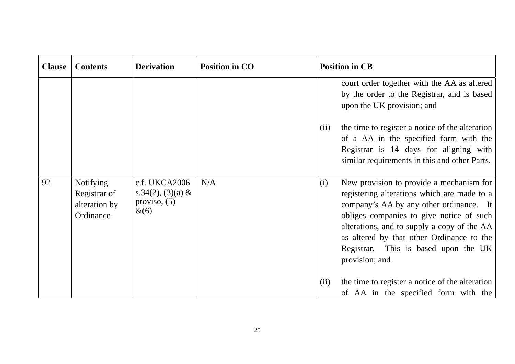| <b>Clause</b> | <b>Contents</b>                                                | <b>Derivation</b>                                               | <b>Position in CO</b> |      | <b>Position in CB</b>                                                                                                                                                                                                                                                                                                                |
|---------------|----------------------------------------------------------------|-----------------------------------------------------------------|-----------------------|------|--------------------------------------------------------------------------------------------------------------------------------------------------------------------------------------------------------------------------------------------------------------------------------------------------------------------------------------|
|               |                                                                |                                                                 |                       |      | court order together with the AA as altered<br>by the order to the Registrar, and is based<br>upon the UK provision; and                                                                                                                                                                                                             |
|               |                                                                |                                                                 |                       | (ii) | the time to register a notice of the alteration<br>of a AA in the specified form with the<br>Registrar is 14 days for aligning with<br>similar requirements in this and other Parts.                                                                                                                                                 |
| 92            | <b>Notifying</b><br>Registrar of<br>alteration by<br>Ordinance | c.f. UKCA2006<br>s.34(2), (3)(a) &<br>proviso, $(5)$<br>$\&(6)$ | N/A                   | (i)  | New provision to provide a mechanism for<br>registering alterations which are made to a<br>company's AA by any other ordinance. It<br>obliges companies to give notice of such<br>alterations, and to supply a copy of the AA<br>as altered by that other Ordinance to the<br>Registrar. This is based upon the UK<br>provision; and |
|               |                                                                |                                                                 |                       | (ii) | the time to register a notice of the alteration<br>of AA in the specified form with the                                                                                                                                                                                                                                              |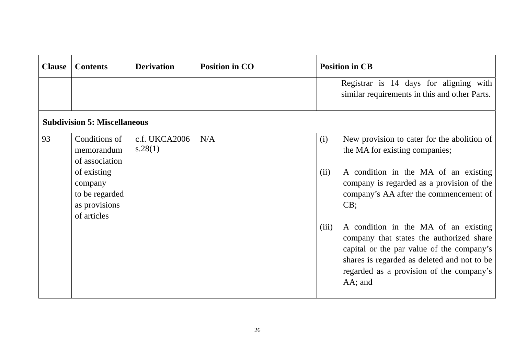| <b>Clause</b> | <b>Contents</b>                                                                                                           | <b>Derivation</b>        | <b>Position in CO</b> |                      | <b>Position in CB</b>                                                                                                                                                                                                                                       |
|---------------|---------------------------------------------------------------------------------------------------------------------------|--------------------------|-----------------------|----------------------|-------------------------------------------------------------------------------------------------------------------------------------------------------------------------------------------------------------------------------------------------------------|
|               |                                                                                                                           |                          |                       |                      | Registrar is 14 days for aligning with<br>similar requirements in this and other Parts.                                                                                                                                                                     |
|               | <b>Subdivision 5: Miscellaneous</b>                                                                                       |                          |                       |                      |                                                                                                                                                                                                                                                             |
| 93            | Conditions of<br>memorandum<br>of association<br>of existing<br>company<br>to be regarded<br>as provisions<br>of articles | c.f. UKCA2006<br>s.28(1) | N/A                   | (i)<br>(ii)<br>(iii) | New provision to cater for the abolition of<br>the MA for existing companies;<br>A condition in the MA of an existing<br>company is regarded as a provision of the<br>company's AA after the commencement of<br>CB;<br>A condition in the MA of an existing |
|               |                                                                                                                           |                          |                       |                      | company that states the authorized share<br>capital or the par value of the company's<br>shares is regarded as deleted and not to be<br>regarded as a provision of the company's<br>AA; and                                                                 |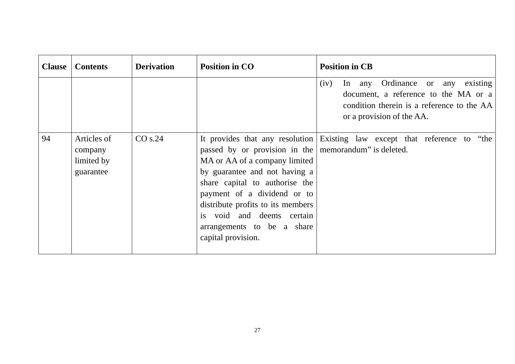| <b>Clause</b> | <b>Contents</b>                                   | <b>Derivation</b> | <b>Position in CO</b>                                                                                                                                                                                                                                                                                          | <b>Position in CB</b>                                                                                                                                          |
|---------------|---------------------------------------------------|-------------------|----------------------------------------------------------------------------------------------------------------------------------------------------------------------------------------------------------------------------------------------------------------------------------------------------------------|----------------------------------------------------------------------------------------------------------------------------------------------------------------|
|               |                                                   |                   |                                                                                                                                                                                                                                                                                                                | In any Ordinance or any<br>(iv)<br>existing<br>document, a reference to the MA or a<br>condition therein is a reference to the AA<br>or a provision of the AA. |
| 94            | Articles of<br>company<br>limited by<br>guarantee | CO s.24           | passed by or provision in the memorandum" is deleted.<br>MA or AA of a company limited<br>by guarantee and not having a<br>share capital to authorise the<br>payment of a dividend or to<br>distribute profits to its members<br>is void and deems certain<br>arrangements to be a share<br>capital provision. | It provides that any resolution Existing law except that reference to "the                                                                                     |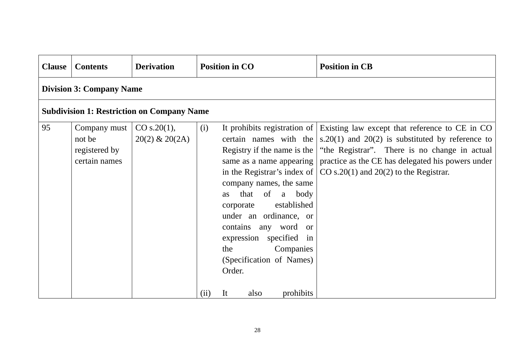| <b>Clause</b> | <b>Contents</b>                                          | <b>Derivation</b>                |             | <b>Position in CO</b>                                                                                                                                                                     |                                                         | <b>Position in CB</b>                                                                                                                                                                                                                                                                                                                                                                                    |  |  |
|---------------|----------------------------------------------------------|----------------------------------|-------------|-------------------------------------------------------------------------------------------------------------------------------------------------------------------------------------------|---------------------------------------------------------|----------------------------------------------------------------------------------------------------------------------------------------------------------------------------------------------------------------------------------------------------------------------------------------------------------------------------------------------------------------------------------------------------------|--|--|
|               | <b>Division 3: Company Name</b>                          |                                  |             |                                                                                                                                                                                           |                                                         |                                                                                                                                                                                                                                                                                                                                                                                                          |  |  |
|               | <b>Subdivision 1: Restriction on Company Name</b>        |                                  |             |                                                                                                                                                                                           |                                                         |                                                                                                                                                                                                                                                                                                                                                                                                          |  |  |
| 95            | Company must<br>not be<br>registered by<br>certain names | CO s.20(1),<br>$20(2)$ & $20(2)$ | (i)<br>(ii) | company names, the same<br><b>as</b><br>corporate<br>under an ordinance, or<br>contains any word or<br>expression specified in<br>the<br>(Specification of Names)<br>Order.<br>It<br>also | that of a body<br>established<br>Companies<br>prohibits | It prohibits registration of Existing law except that reference to CE in CO<br>certain names with the $ s.20(1)$ and $20(2)$ is substituted by reference to<br>Registry if the name is the   "the Registrar". There is no change in actual<br>same as a name appearing   practice as the CE has delegated his powers under<br>in the Registrar's index of $\vert$ CO s.20(1) and 20(2) to the Registrar. |  |  |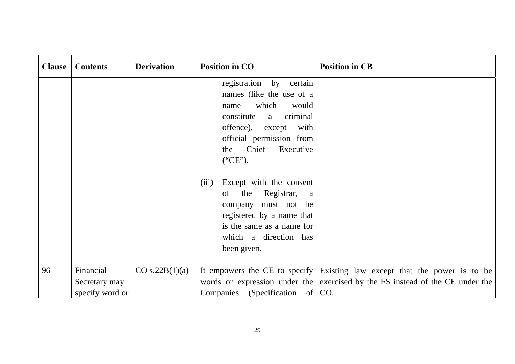| <b>Clause</b> | <b>Contents</b>                               | <b>Derivation</b> | <b>Position in CO</b>                                                                                                                                                                                                                                                                                                                                                                                     | <b>Position in CB</b>                                                                                                                                             |
|---------------|-----------------------------------------------|-------------------|-----------------------------------------------------------------------------------------------------------------------------------------------------------------------------------------------------------------------------------------------------------------------------------------------------------------------------------------------------------------------------------------------------------|-------------------------------------------------------------------------------------------------------------------------------------------------------------------|
|               |                                               |                   | registration by certain<br>names (like the use of a<br>which<br>would<br>name<br>criminal<br>constitute<br>a<br>offence), except<br>with<br>official permission from<br>Chief<br>Executive<br>the<br>("CE").<br>(iii)<br>Except with the consent<br>the<br>Registrar,<br>of<br>a<br>company must not be<br>registered by a name that<br>is the same as a name for<br>which a direction has<br>been given. |                                                                                                                                                                   |
| 96            | Financial<br>Secretary may<br>specify word or | CO s.22B(1)(a)    | Companies (Specification of                                                                                                                                                                                                                                                                                                                                                                               | It empowers the CE to specify Existing law except that the power is to be<br>words or expression under the exercised by the FS instead of the CE under the<br>CO. |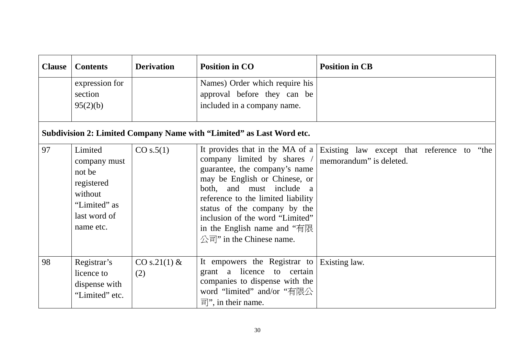| <b>Clause</b> | <b>Contents</b>                                                                                         | <b>Derivation</b>     | <b>Position in CO</b>                                                                                                                                                                                                                                                                                                                                          | <b>Position in CB</b>                                                    |  |  |  |  |
|---------------|---------------------------------------------------------------------------------------------------------|-----------------------|----------------------------------------------------------------------------------------------------------------------------------------------------------------------------------------------------------------------------------------------------------------------------------------------------------------------------------------------------------------|--------------------------------------------------------------------------|--|--|--|--|
|               | expression for<br>section<br>95(2)(b)                                                                   |                       | Names) Order which require his<br>approval before they can be<br>included in a company name.                                                                                                                                                                                                                                                                   |                                                                          |  |  |  |  |
|               | Subdivision 2: Limited Company Name with "Limited" as Last Word etc.                                    |                       |                                                                                                                                                                                                                                                                                                                                                                |                                                                          |  |  |  |  |
| 97            | Limited<br>company must<br>not be<br>registered<br>without<br>"Limited" as<br>last word of<br>name etc. | CO s.5(1)             | It provides that in the MA of a<br>company limited by shares<br>guarantee, the company's name<br>may be English or Chinese, or<br>both, and must include a<br>reference to the limited liability<br>status of the company by the<br>inclusion of the word "Limited"<br>in the English name and "有限<br>$\triangle \overline{\mathbb{a}}$ " in the Chinese name. | Existing law except that reference to<br>"the<br>memorandum" is deleted. |  |  |  |  |
| 98            | Registrar's<br>licence to<br>dispense with<br>"Limited" etc.                                            | $CO s.21(1)$ &<br>(2) | It empowers the Registrar to<br>grant a licence to certain<br>companies to dispense with the<br>word "limited" and/or "有限公<br>$\overline{\overline{f}}$ , in their name.                                                                                                                                                                                       | <b>Existing law.</b>                                                     |  |  |  |  |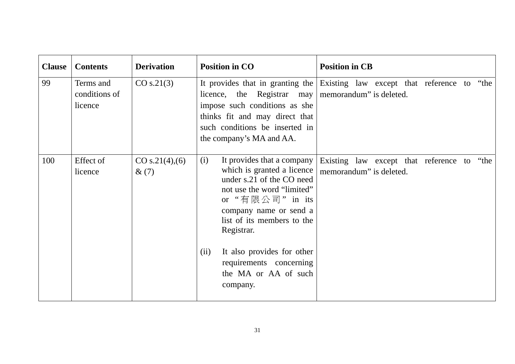| <b>Clause</b> | <b>Contents</b>                       | <b>Derivation</b>         | <b>Position in CO</b>                                                                                                                                                                                                                                                                                                     | <b>Position in CB</b>                                                       |
|---------------|---------------------------------------|---------------------------|---------------------------------------------------------------------------------------------------------------------------------------------------------------------------------------------------------------------------------------------------------------------------------------------------------------------------|-----------------------------------------------------------------------------|
| 99            | Terms and<br>conditions of<br>licence | CO s.21(3)                | licence, the Registrar may   memorandum" is deleted.<br>impose such conditions as she<br>thinks fit and may direct that<br>such conditions be inserted in<br>the company's MA and AA.                                                                                                                                     | It provides that in granting the Existing law except that reference to "the |
| 100           | Effect of<br>licence                  | CO s.21(4),(6)<br>$\&(7)$ | It provides that a company<br>(i)<br>which is granted a licence<br>under s.21 of the CO need<br>not use the word "limited"<br>or "有限公司" in its<br>company name or send a<br>list of its members to the<br>Registrar.<br>It also provides for other<br>(ii)<br>requirements concerning<br>the MA or AA of such<br>company. | Existing law except that reference to "the<br>memorandum" is deleted.       |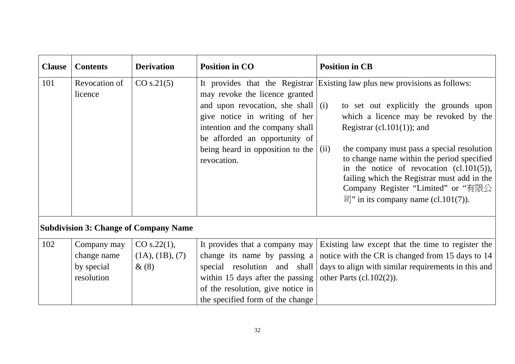| <b>Clause</b> | <b>Contents</b>                                        | <b>Derivation</b>                            | <b>Position in CO</b>                                                                                                                                                                                                                      | <b>Position in CB</b>                                                                                                                                                                                                                                                                                                                                                                                                                                                            |
|---------------|--------------------------------------------------------|----------------------------------------------|--------------------------------------------------------------------------------------------------------------------------------------------------------------------------------------------------------------------------------------------|----------------------------------------------------------------------------------------------------------------------------------------------------------------------------------------------------------------------------------------------------------------------------------------------------------------------------------------------------------------------------------------------------------------------------------------------------------------------------------|
| 101           | Revocation of<br>licence                               | CO s.21(5)                                   | may revoke the licence granted<br>and upon revocation, she shall $(i)$<br>give notice in writing of her<br>intention and the company shall<br>be afforded an opportunity of<br>being heard in opposition to the $\int$ (ii)<br>revocation. | It provides that the Registrar Existing law plus new provisions as follows:<br>to set out explicitly the grounds upon<br>which a licence may be revoked by the<br>Registrar (cl.101(1)); and<br>the company must pass a special resolution<br>to change name within the period specified<br>in the notice of revocation $(cl.101(5)),$<br>failing which the Registrar must add in the<br>Company Register "Limited" or "有限公<br>$\overline{f}$ " in its company name (cl.101(7)). |
|               |                                                        | <b>Subdivision 3: Change of Company Name</b> |                                                                                                                                                                                                                                            |                                                                                                                                                                                                                                                                                                                                                                                                                                                                                  |
| 102           | Company may<br>change name<br>by special<br>resolution | CO s.22(1),<br>(1A), (1B), (7)<br>$\&(8)$    | It provides that a company may<br>change its name by passing a<br>special resolution and shall<br>within 15 days after the passing<br>of the resolution, give notice in<br>the specified form of the change                                | Existing law except that the time to register the<br>notice with the CR is changed from 15 days to 14<br>days to align with similar requirements in this and<br>other Parts $(cl.102(2))$ .                                                                                                                                                                                                                                                                                      |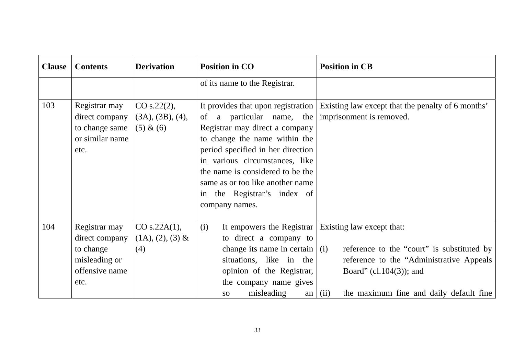| <b>Clause</b> | <b>Contents</b>                                                                         | <b>Derivation</b>                            | <b>Position in CO</b>                                                                                                                                                                                                                                                                        | <b>Position in CB</b>                                                                                                                                                                                  |
|---------------|-----------------------------------------------------------------------------------------|----------------------------------------------|----------------------------------------------------------------------------------------------------------------------------------------------------------------------------------------------------------------------------------------------------------------------------------------------|--------------------------------------------------------------------------------------------------------------------------------------------------------------------------------------------------------|
|               |                                                                                         |                                              | of its name to the Registrar.                                                                                                                                                                                                                                                                |                                                                                                                                                                                                        |
| 103           | Registrar may<br>direct company<br>to change same<br>or similar name<br>etc.            | CO s.22(2),<br>(3A), (3B), (4),<br>(5) & (6) | of a particular name, the<br>Registrar may direct a company<br>to change the name within the<br>period specified in her direction<br>in various circumstances, like<br>the name is considered to be the<br>same as or too like another name<br>in the Registrar's index of<br>company names. | It provides that upon registration   Existing law except that the penalty of 6 months'<br>imprisonment is removed.                                                                                     |
| 104           | Registrar may<br>direct company<br>to change<br>misleading or<br>offensive name<br>etc. | CO s.22A(1),<br>$(1A), (2), (3)$ &<br>(4)    | (i)<br>It empowers the Registrar<br>to direct a company to<br>change its name in certain $\vert$ (i)<br>situations, like in the<br>opinion of the Registrar,<br>the company name gives<br>misleading<br><b>SO</b><br>an                                                                      | Existing law except that:<br>reference to the "court" is substituted by<br>reference to the "Administrative Appeals"<br>Board" (cl. $104(3)$ ); and<br>the maximum fine and daily default fine<br>(ii) |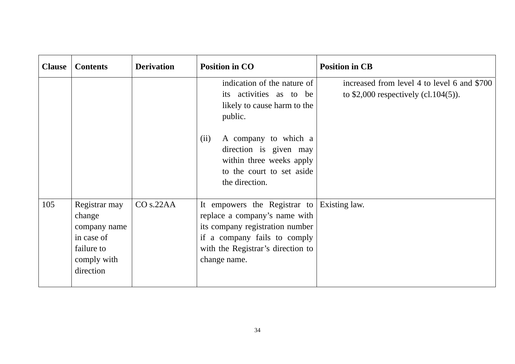| <b>Clause</b> | <b>Contents</b>                                                                                 | <b>Derivation</b> | <b>Position in CO</b>                                                                                                                                                                               | <b>Position in CB</b>                                                                |
|---------------|-------------------------------------------------------------------------------------------------|-------------------|-----------------------------------------------------------------------------------------------------------------------------------------------------------------------------------------------------|--------------------------------------------------------------------------------------|
|               |                                                                                                 |                   | indication of the nature of<br>its activities as to be<br>likely to cause harm to the<br>public.                                                                                                    | increased from level 4 to level 6 and \$700<br>to $$2,000$ respectively (cl.104(5)). |
|               |                                                                                                 |                   | (ii)<br>A company to which a<br>direction is given may<br>within three weeks apply<br>to the court to set aside<br>the direction.                                                                   |                                                                                      |
| 105           | Registrar may<br>change<br>company name<br>in case of<br>failure to<br>comply with<br>direction | CO s.22AA         | It empowers the Registrar to Existing law.<br>replace a company's name with<br>its company registration number<br>if a company fails to comply<br>with the Registrar's direction to<br>change name. |                                                                                      |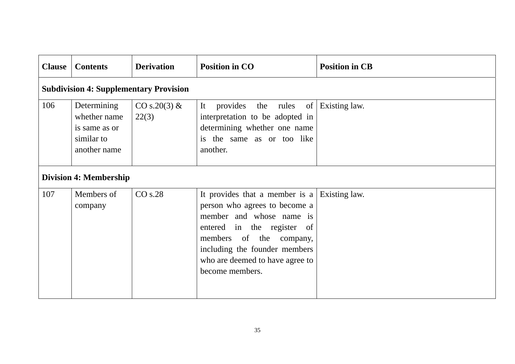| <b>Clause</b> | <b>Contents</b>                                                            | <b>Derivation</b>        | <b>Position in CO</b>                                                                                                                                                                                                                                     | <b>Position in CB</b> |  |  |  |  |
|---------------|----------------------------------------------------------------------------|--------------------------|-----------------------------------------------------------------------------------------------------------------------------------------------------------------------------------------------------------------------------------------------------------|-----------------------|--|--|--|--|
|               | <b>Subdivision 4: Supplementary Provision</b>                              |                          |                                                                                                                                                                                                                                                           |                       |  |  |  |  |
| 106           | Determining<br>whether name<br>is same as or<br>similar to<br>another name | $CO s.20(3) \&$<br>22(3) | It<br>provides<br>the rules of<br>interpretation to be adopted in<br>determining whether one name<br>is the same as or too like<br>another.                                                                                                               | Existing law.         |  |  |  |  |
|               | <b>Division 4: Membership</b>                                              |                          |                                                                                                                                                                                                                                                           |                       |  |  |  |  |
| 107           | Members of<br>company                                                      | CO s.28                  | It provides that a member is a Existing law.<br>person who agrees to become a<br>member and whose name is<br>entered in the register of<br>members of the company,<br>including the founder members<br>who are deemed to have agree to<br>become members. |                       |  |  |  |  |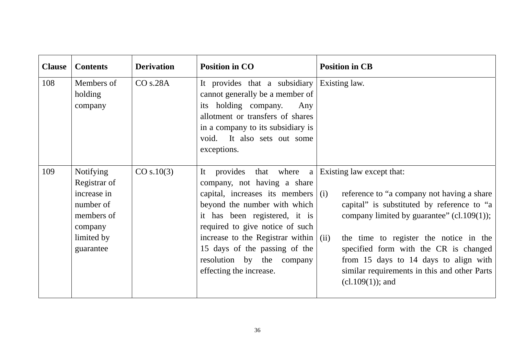| <b>Clause</b> | <b>Contents</b>                                                                                                  | <b>Derivation</b> | <b>Position in CO</b>                                                                                                                                                                                                                                                                                                                   | <b>Position in CB</b>                                                                                                                                                                                                                                                                                                                                                           |
|---------------|------------------------------------------------------------------------------------------------------------------|-------------------|-----------------------------------------------------------------------------------------------------------------------------------------------------------------------------------------------------------------------------------------------------------------------------------------------------------------------------------------|---------------------------------------------------------------------------------------------------------------------------------------------------------------------------------------------------------------------------------------------------------------------------------------------------------------------------------------------------------------------------------|
| 108           | Members of<br>holding<br>company                                                                                 | CO s.28A          | It provides that a subsidiary<br>cannot generally be a member of<br>its holding company.<br>Any<br>allotment or transfers of shares<br>in a company to its subsidiary is<br>void. It also sets out some<br>exceptions.                                                                                                                  | Existing law.                                                                                                                                                                                                                                                                                                                                                                   |
| 109           | <b>Notifying</b><br>Registrar of<br>increase in<br>number of<br>members of<br>company<br>limited by<br>guarantee | CO s.10(3)        | It provides that where a<br>company, not having a share<br>capital, increases its members<br>beyond the number with which<br>it has been registered, it is<br>required to give notice of such<br>increase to the Registrar within $\vert$ (ii)<br>15 days of the passing of the<br>resolution by the company<br>effecting the increase. | Existing law except that:<br>reference to "a company not having a share<br>(i)<br>capital" is substituted by reference to "a<br>company limited by guarantee" $(cl.109(1));$<br>the time to register the notice in the<br>specified form with the CR is changed<br>from 15 days to 14 days to align with<br>similar requirements in this and other Parts<br>$(cl.109(1))$ ; and |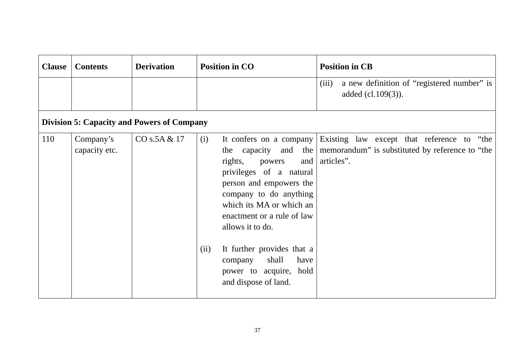| <b>Clause</b> | <b>Contents</b>                                   | <b>Derivation</b> | <b>Position in CO</b>                                                                                                                                                                                                                                                                                                                               | <b>Position in CB</b>                                                                                                          |  |  |  |  |
|---------------|---------------------------------------------------|-------------------|-----------------------------------------------------------------------------------------------------------------------------------------------------------------------------------------------------------------------------------------------------------------------------------------------------------------------------------------------------|--------------------------------------------------------------------------------------------------------------------------------|--|--|--|--|
|               |                                                   |                   |                                                                                                                                                                                                                                                                                                                                                     | a new definition of "registered number" is<br>(iii)<br>added (cl.109(3)).                                                      |  |  |  |  |
|               | <b>Division 5: Capacity and Powers of Company</b> |                   |                                                                                                                                                                                                                                                                                                                                                     |                                                                                                                                |  |  |  |  |
| 110           | Company's<br>capacity etc.                        | CO s.5A & 17      | (i)<br>It confers on a company<br>the<br>rights,<br>powers<br>and<br>privileges of a natural<br>person and empowers the<br>company to do anything<br>which its MA or which an<br>enactment or a rule of law<br>allows it to do.<br>It further provides that a<br>(ii)<br>shall<br>have<br>company<br>power to acquire, hold<br>and dispose of land. | Existing law except that reference to "the<br>capacity and the   memorandum" is substituted by reference to "the<br>articles". |  |  |  |  |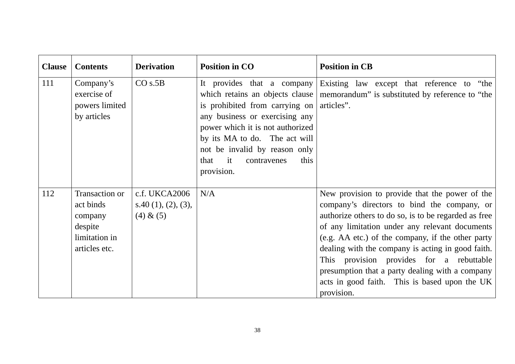| <b>Clause</b> | <b>Contents</b>                                                                     | <b>Derivation</b>                                | <b>Position in CO</b>                                                                                                                                                                                                                    | <b>Position in CB</b>                                                                                                                                                                                                                                                                                                                                                                                                                                                           |
|---------------|-------------------------------------------------------------------------------------|--------------------------------------------------|------------------------------------------------------------------------------------------------------------------------------------------------------------------------------------------------------------------------------------------|---------------------------------------------------------------------------------------------------------------------------------------------------------------------------------------------------------------------------------------------------------------------------------------------------------------------------------------------------------------------------------------------------------------------------------------------------------------------------------|
| 111           | Company's<br>exercise of<br>powers limited<br>by articles                           | CO s.5B                                          | is prohibited from carrying on articles".<br>any business or exercising any<br>power which it is not authorized<br>by its MA to do. The act will<br>not be invalid by reason only<br>this<br>$-$ it<br>that<br>contravenes<br>provision. | It provides that a company Existing law except that reference to "the<br>which retains an objects clause   memorandum" is substituted by reference to "the                                                                                                                                                                                                                                                                                                                      |
| 112           | Transaction or<br>act binds<br>company<br>despite<br>limitation in<br>articles etc. | c.f. UKCA2006<br>s.40(1), (2), (3),<br>(4) & (5) | N/A                                                                                                                                                                                                                                      | New provision to provide that the power of the<br>company's directors to bind the company, or<br>authorize others to do so, is to be regarded as free<br>of any limitation under any relevant documents<br>(e.g. AA etc.) of the company, if the other party<br>dealing with the company is acting in good faith.<br>This provision provides for a rebuttable<br>presumption that a party dealing with a company<br>acts in good faith. This is based upon the UK<br>provision. |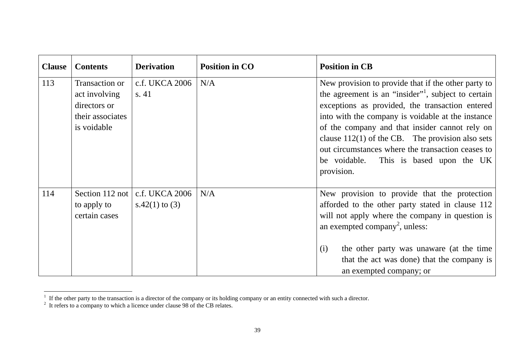| <b>Clause</b> | <b>Contents</b>                                                                    | <b>Derivation</b>                | <b>Position in CO</b> | <b>Position in CB</b>                                                                                                                                                                                                                                                                                                                                                                                                                               |
|---------------|------------------------------------------------------------------------------------|----------------------------------|-----------------------|-----------------------------------------------------------------------------------------------------------------------------------------------------------------------------------------------------------------------------------------------------------------------------------------------------------------------------------------------------------------------------------------------------------------------------------------------------|
| 113           | Transaction or<br>act involving<br>directors or<br>their associates<br>is voidable | c.f. UKCA 2006<br>s. 41          | N/A                   | New provision to provide that if the other party to<br>the agreement is an "insider" <sup>1</sup> , subject to certain<br>exceptions as provided, the transaction entered<br>into with the company is voidable at the instance<br>of the company and that insider cannot rely on<br>clause $112(1)$ of the CB. The provision also sets<br>out circumstances where the transaction ceases to<br>be voidable. This is based upon the UK<br>provision. |
| 114           | Section 112 not<br>to apply to<br>certain cases                                    | c.f. UKCA 2006<br>s.42(1) to (3) | N/A                   | New provision to provide that the protection<br>afforded to the other party stated in clause 112<br>will not apply where the company in question is<br>an exempted company <sup>2</sup> , unless:<br>the other party was unaware (at the time<br>(i)<br>that the act was done) that the company is<br>an exempted company; or                                                                                                                       |

<sup>&</sup>lt;sup>1</sup> If the other party to the transaction is a director of the company or its holding company or an entity connected with such a director.

 $2<sup>2</sup>$  It refers to a company to which a licence under clause 98 of the CB relates.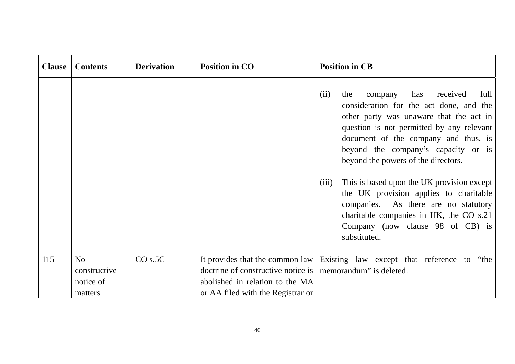| <b>Clause</b> | <b>Contents</b>                            | <b>Derivation</b> | <b>Position in CO</b>                                                                                      | <b>Position in CB</b>                                                                                                                                                                                                                                                                                                                                                                                                                                                                                                        |
|---------------|--------------------------------------------|-------------------|------------------------------------------------------------------------------------------------------------|------------------------------------------------------------------------------------------------------------------------------------------------------------------------------------------------------------------------------------------------------------------------------------------------------------------------------------------------------------------------------------------------------------------------------------------------------------------------------------------------------------------------------|
|               |                                            |                   |                                                                                                            | company has received<br>full<br>the<br>(ii)<br>consideration for the act done, and the<br>other party was unaware that the act in<br>question is not permitted by any relevant<br>document of the company and thus, is<br>beyond the company's capacity or is<br>beyond the powers of the directors.<br>This is based upon the UK provision except<br>(iii)<br>the UK provision applies to charitable<br>companies. As there are no statutory<br>charitable companies in HK, the CO s.21<br>Company (now clause 98 of CB) is |
|               |                                            |                   |                                                                                                            | substituted.                                                                                                                                                                                                                                                                                                                                                                                                                                                                                                                 |
| 115           | No<br>constructive<br>notice of<br>matters | CO s.5C           | doctrine of constructive notice is<br>abolished in relation to the MA<br>or AA filed with the Registrar or | It provides that the common law Existing law except that reference to "the<br>memorandum" is deleted.                                                                                                                                                                                                                                                                                                                                                                                                                        |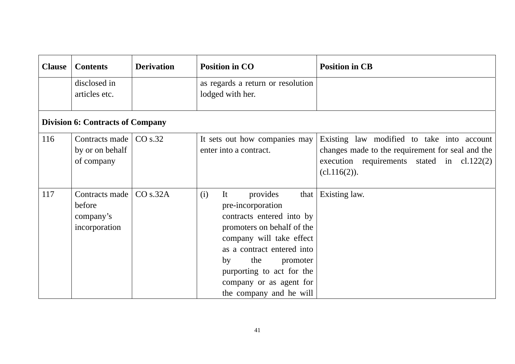| <b>Clause</b> | <b>Contents</b>                                        | <b>Derivation</b> | <b>Position in CO</b>                                                                                                                                                                                                                                                                   | <b>Position in CB</b>                                                                                                                                          |  |  |
|---------------|--------------------------------------------------------|-------------------|-----------------------------------------------------------------------------------------------------------------------------------------------------------------------------------------------------------------------------------------------------------------------------------------|----------------------------------------------------------------------------------------------------------------------------------------------------------------|--|--|
|               | disclosed in<br>articles etc.                          |                   | as regards a return or resolution<br>lodged with her.                                                                                                                                                                                                                                   |                                                                                                                                                                |  |  |
|               | <b>Division 6: Contracts of Company</b>                |                   |                                                                                                                                                                                                                                                                                         |                                                                                                                                                                |  |  |
| 116           | Contracts made  <br>by or on behalf<br>of company      | CO s.32           | It sets out how companies may<br>enter into a contract.                                                                                                                                                                                                                                 | Existing law modified to take into account<br>changes made to the requirement for seal and the<br>execution requirements stated in $cl.122(2)$<br>(cl.116(2)). |  |  |
| 117           | Contracts made<br>before<br>company's<br>incorporation | CO s.32A          | It<br>(i)<br>provides<br>that $ $<br>pre-incorporation<br>contracts entered into by<br>promoters on behalf of the<br>company will take effect<br>as a contract entered into<br>the<br>by<br>promoter<br>purporting to act for the<br>company or as agent for<br>the company and he will | Existing law.                                                                                                                                                  |  |  |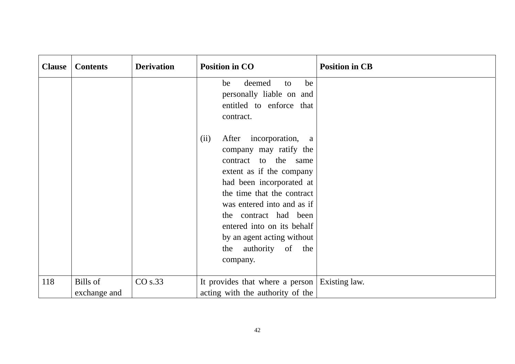| <b>Clause</b> | <b>Contents</b>                 | <b>Derivation</b> | <b>Position in CO</b>                                                                                                                                                                                                                                                                                                                    | <b>Position in CB</b> |
|---------------|---------------------------------|-------------------|------------------------------------------------------------------------------------------------------------------------------------------------------------------------------------------------------------------------------------------------------------------------------------------------------------------------------------------|-----------------------|
|               |                                 |                   | deemed<br>be<br>be<br>to<br>personally liable on and<br>entitled to enforce that<br>contract.                                                                                                                                                                                                                                            |                       |
|               |                                 |                   | incorporation,<br>(ii)<br>After<br>a a<br>company may ratify the<br>contract to the same<br>extent as if the company<br>had been incorporated at<br>the time that the contract<br>was entered into and as if<br>the contract had been<br>entered into on its behalf<br>by an agent acting without<br>authority of the<br>the<br>company. |                       |
| 118           | <b>Bills</b> of<br>exchange and | CO s.33           | It provides that where a person Existing law.<br>acting with the authority of the                                                                                                                                                                                                                                                        |                       |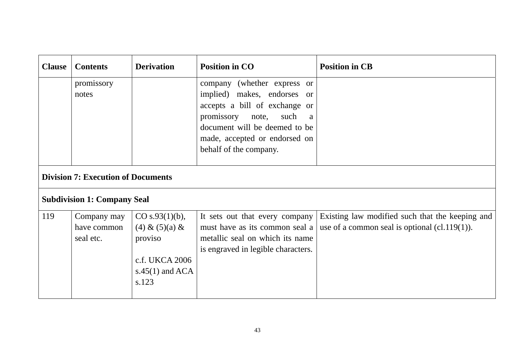| <b>Clause</b> | <b>Contents</b>                           | <b>Derivation</b>                                                                                   | <b>Position in CO</b>                                                                                                                                                                                                    | <b>Position in CB</b>                                                                               |  |  |
|---------------|-------------------------------------------|-----------------------------------------------------------------------------------------------------|--------------------------------------------------------------------------------------------------------------------------------------------------------------------------------------------------------------------------|-----------------------------------------------------------------------------------------------------|--|--|
|               | promissory<br>notes                       |                                                                                                     | company (whether express or<br>implied) makes, endorses or<br>accepts a bill of exchange or<br>promissory note,<br>such<br>a<br>document will be deemed to be<br>made, accepted or endorsed on<br>behalf of the company. |                                                                                                     |  |  |
|               | <b>Division 7: Execution of Documents</b> |                                                                                                     |                                                                                                                                                                                                                          |                                                                                                     |  |  |
|               | <b>Subdivision 1: Company Seal</b>        |                                                                                                     |                                                                                                                                                                                                                          |                                                                                                     |  |  |
| 119           | Company may<br>have common<br>seal etc.   | $CO s.93(1)(b)$ ,<br>(4) & (5)(a) & (4)<br>proviso<br>c.f. UKCA 2006<br>s.45 $(1)$ and ACA<br>s.123 | It sets out that every company<br>must have as its common seal a<br>metallic seal on which its name<br>is engraved in legible characters.                                                                                | Existing law modified such that the keeping and<br>use of a common seal is optional $(cl.119(1))$ . |  |  |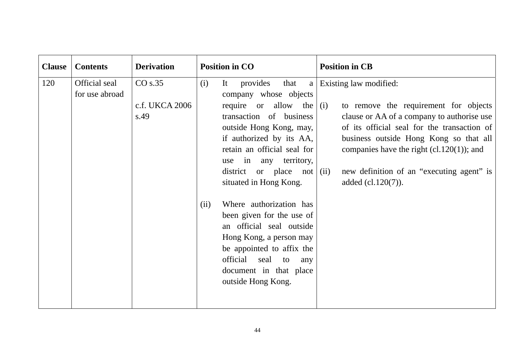| <b>Clause</b> | <b>Contents</b>                 | <b>Derivation</b>                 | <b>Position in CO</b>                                                                                                                                                                                                                                                                                                                                                                                                                                                                                                         | <b>Position in CB</b>                                                                                                                                                                                                                                                                                                            |
|---------------|---------------------------------|-----------------------------------|-------------------------------------------------------------------------------------------------------------------------------------------------------------------------------------------------------------------------------------------------------------------------------------------------------------------------------------------------------------------------------------------------------------------------------------------------------------------------------------------------------------------------------|----------------------------------------------------------------------------------------------------------------------------------------------------------------------------------------------------------------------------------------------------------------------------------------------------------------------------------|
| 120           | Official seal<br>for use abroad | CO s.35<br>c.f. UKCA 2006<br>s.49 | It<br>provides<br>that<br>(i)<br>a<br>company whose objects<br>require or allow the<br>transaction of business<br>outside Hong Kong, may,<br>if authorized by its AA,<br>retain an official seal for<br>use in any territory,<br>district or place not $(iii)$<br>situated in Hong Kong.<br>Where authorization has<br>(ii)<br>been given for the use of<br>an official seal outside<br>Hong Kong, a person may<br>be appointed to affix the<br>official<br>seal<br>to<br>any<br>document in that place<br>outside Hong Kong. | Existing law modified:<br>to remove the requirement for objects<br>(i)<br>clause or AA of a company to authorise use<br>of its official seal for the transaction of<br>business outside Hong Kong so that all<br>companies have the right $(cl.120(1))$ ; and<br>new definition of an "executing agent" is<br>added (cl.120(7)). |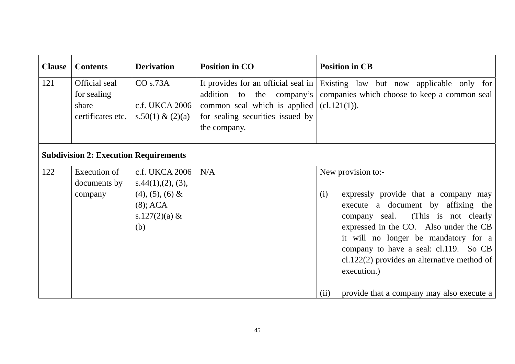| <b>Clause</b> | <b>Contents</b>                                            | <b>Derivation</b>                                                                                         | <b>Position in CO</b>                                                                                         | <b>Position in CB</b>                                                                                                                                                                                                                                                                                                                                                                       |
|---------------|------------------------------------------------------------|-----------------------------------------------------------------------------------------------------------|---------------------------------------------------------------------------------------------------------------|---------------------------------------------------------------------------------------------------------------------------------------------------------------------------------------------------------------------------------------------------------------------------------------------------------------------------------------------------------------------------------------------|
| 121           | Official seal<br>for sealing<br>share<br>certificates etc. | CO s.73A<br>c.f. UKCA 2006<br>s.50(1) & (2)(a)                                                            | addition to the company's<br>common seal which is applied<br>for sealing securities issued by<br>the company. | It provides for an official seal in Existing law but now applicable only for<br>companies which choose to keep a common seal<br>$cl.121(1)$ .                                                                                                                                                                                                                                               |
|               | <b>Subdivision 2: Execution Requirements</b>               |                                                                                                           |                                                                                                               |                                                                                                                                                                                                                                                                                                                                                                                             |
| 122           | Execution of<br>documents by<br>company                    | c.f. UKCA 2006<br>s.44(1), (2), (3),<br>$(4)$ , $(5)$ , $(6)$ &<br>$(8)$ ; ACA<br>s.127 $(2)(a)$ &<br>(b) | N/A                                                                                                           | New provision to:-<br>expressly provide that a company may<br>(i)<br>execute a document by affixing the<br>company seal. (This is not clearly<br>expressed in the CO. Also under the CB<br>it will no longer be mandatory for a<br>company to have a seal: cl.119. So CB<br>cl.122(2) provides an alternative method of<br>execution.)<br>provide that a company may also execute a<br>(ii) |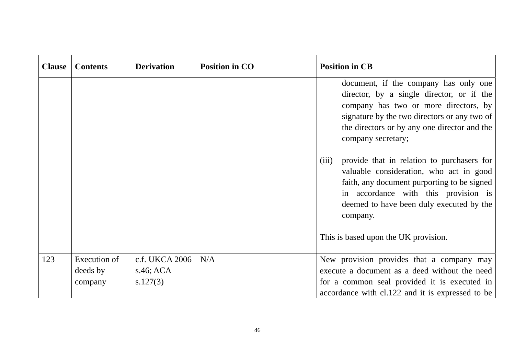| <b>Clause</b> | <b>Contents</b>                            | <b>Derivation</b>                          | <b>Position in CO</b> | <b>Position in CB</b>                                                                                                                                                                                                                                                                                                                                                                                                                      |
|---------------|--------------------------------------------|--------------------------------------------|-----------------------|--------------------------------------------------------------------------------------------------------------------------------------------------------------------------------------------------------------------------------------------------------------------------------------------------------------------------------------------------------------------------------------------------------------------------------------------|
|               |                                            |                                            |                       | document, if the company has only one<br>director, by a single director, or if the<br>company has two or more directors, by<br>signature by the two directors or any two of<br>the directors or by any one director and the<br>company secretary;<br>provide that in relation to purchasers for<br>(iii)<br>valuable consideration, who act in good<br>faith, any document purporting to be signed<br>in accordance with this provision is |
|               |                                            |                                            |                       | deemed to have been duly executed by the<br>company.<br>This is based upon the UK provision.                                                                                                                                                                                                                                                                                                                                               |
|               |                                            |                                            |                       |                                                                                                                                                                                                                                                                                                                                                                                                                                            |
| 123           | <b>Execution of</b><br>deeds by<br>company | c.f. UKCA 2006<br>$s.46$ ; ACA<br>s.127(3) | N/A                   | New provision provides that a company may<br>execute a document as a deed without the need<br>for a common seal provided it is executed in                                                                                                                                                                                                                                                                                                 |
|               |                                            |                                            |                       | accordance with cl.122 and it is expressed to be                                                                                                                                                                                                                                                                                                                                                                                           |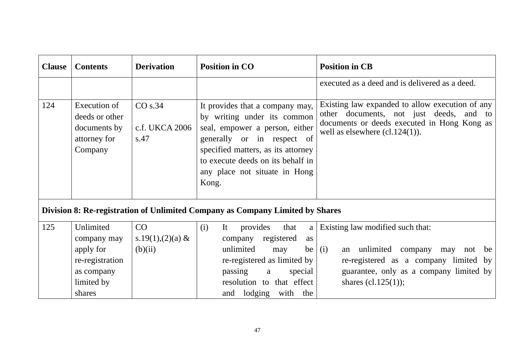| <b>Clause</b> | <b>Contents</b>                                                           | <b>Derivation</b>                 | <b>Position in CO</b>                                                                                                                                                                                                                               | <b>Position in CB</b>                                                                                                                                                          |
|---------------|---------------------------------------------------------------------------|-----------------------------------|-----------------------------------------------------------------------------------------------------------------------------------------------------------------------------------------------------------------------------------------------------|--------------------------------------------------------------------------------------------------------------------------------------------------------------------------------|
|               |                                                                           |                                   |                                                                                                                                                                                                                                                     | executed as a deed and is delivered as a deed.                                                                                                                                 |
| 124           | Execution of<br>deeds or other<br>documents by<br>attorney for<br>Company | CO s.34<br>c.f. UKCA 2006<br>s.47 | It provides that a company may,<br>by writing under its common<br>seal, empower a person, either<br>generally or in respect of<br>specified matters, as its attorney<br>to execute deeds on its behalf in<br>any place not situate in Hong<br>Kong. | Existing law expanded to allow execution of any<br>other documents, not just deeds, and to<br>documents or deeds executed in Hong Kong as<br>well as elsewhere $(cl.124(1))$ . |
|               |                                                                           |                                   | Division 8: Re-registration of Unlimited Company as Company Limited by Shares                                                                                                                                                                       |                                                                                                                                                                                |
| 125           | Unlimited                                                                 | CO                                | (i)<br>provides<br>that<br>It<br>a                                                                                                                                                                                                                  | Existing law modified such that:                                                                                                                                               |
|               | company may                                                               | s.19(1),(2)(a) &                  | company registered<br>as                                                                                                                                                                                                                            |                                                                                                                                                                                |
|               | apply for                                                                 | (b)(ii)                           | unlimited<br>may<br>be                                                                                                                                                                                                                              | an unlimited company<br>(i)<br>may<br>not<br>be                                                                                                                                |
|               | re-registration                                                           |                                   | re-registered as limited by                                                                                                                                                                                                                         | re-registered as a company limited by                                                                                                                                          |
|               | as company                                                                |                                   | passing<br>special<br>a                                                                                                                                                                                                                             | guarantee, only as a company limited by                                                                                                                                        |
|               | limited by                                                                |                                   | resolution to that effect                                                                                                                                                                                                                           | shares (cl.125 $(1)$ );                                                                                                                                                        |
|               | shares                                                                    |                                   | and lodging with the                                                                                                                                                                                                                                |                                                                                                                                                                                |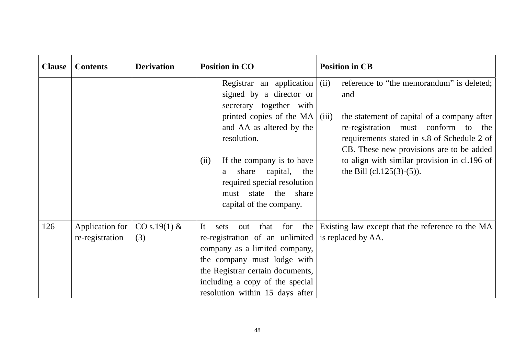| <b>Clause</b> | <b>Contents</b>                    | <b>Derivation</b>     | <b>Position in CO</b>                                                                                                                                                                                                                               | <b>Position in CB</b>                                                                                                                                                                                                                                                                                                      |
|---------------|------------------------------------|-----------------------|-----------------------------------------------------------------------------------------------------------------------------------------------------------------------------------------------------------------------------------------------------|----------------------------------------------------------------------------------------------------------------------------------------------------------------------------------------------------------------------------------------------------------------------------------------------------------------------------|
|               |                                    |                       | Registrar an application $(iii)$<br>signed by a director or<br>secretary together with<br>printed copies of the MA<br>and AA as altered by the<br>resolution.<br>If the company is to have<br>(ii)<br>share capital,<br>the<br>a                    | reference to "the memorandum" is deleted;<br>and<br>the statement of capital of a company after<br>(iii)<br>re-registration must conform to the<br>requirements stated in s.8 of Schedule 2 of<br>CB. These new provisions are to be added<br>to align with similar provision in cl.196 of<br>the Bill $(cl.125(3)-(5))$ . |
|               |                                    |                       | required special resolution<br>state the share<br>must<br>capital of the company.                                                                                                                                                                   |                                                                                                                                                                                                                                                                                                                            |
| 126           | Application for<br>re-registration | CO s.19(1) $&$<br>(3) | It<br>the  <br>that for<br>sets<br>out<br>re-registration of an unlimited<br>company as a limited company,<br>the company must lodge with<br>the Registrar certain documents,<br>including a copy of the special<br>resolution within 15 days after | Existing law except that the reference to the MA<br>is replaced by AA.                                                                                                                                                                                                                                                     |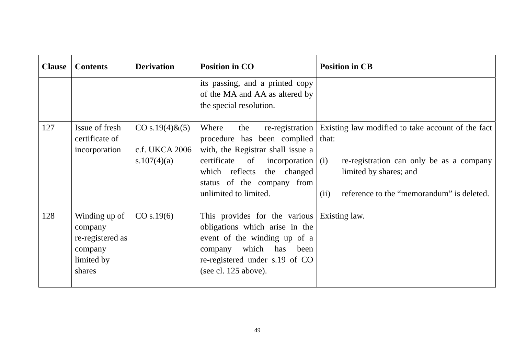| <b>Clause</b> | <b>Contents</b>                                                                 | <b>Derivation</b>                                    | <b>Position in CO</b>                                                                                                                                                                                                | <b>Position in CB</b>                                                                                                                                                                        |
|---------------|---------------------------------------------------------------------------------|------------------------------------------------------|----------------------------------------------------------------------------------------------------------------------------------------------------------------------------------------------------------------------|----------------------------------------------------------------------------------------------------------------------------------------------------------------------------------------------|
|               |                                                                                 |                                                      | its passing, and a printed copy<br>of the MA and AA as altered by<br>the special resolution.                                                                                                                         |                                                                                                                                                                                              |
| 127           | Issue of fresh<br>certificate of<br>incorporation                               | $CO s.19(4) \& (5)$<br>c.f. UKCA 2006<br>s.107(4)(a) | Where<br>the<br>procedure has been complied that:<br>with, the Registrar shall issue a<br>certificate of<br>incorporation $(i)$<br>which reflects the changed<br>status of the company from<br>unlimited to limited. | re-registration Existing law modified to take account of the fact<br>re-registration can only be as a company<br>limited by shares; and<br>(ii)<br>reference to the "memorandum" is deleted. |
| 128           | Winding up of<br>company<br>re-registered as<br>company<br>limited by<br>shares | CO s.19(6)                                           | This provides for the various Existing law.<br>obligations which arise in the<br>event of the winding up of a<br>company which has been<br>re-registered under s.19 of CO<br>(see cl. 125 above).                    |                                                                                                                                                                                              |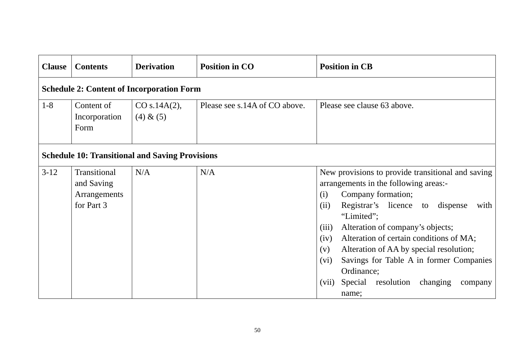| <b>Clause</b>                                          | <b>Contents</b>                                          | <b>Derivation</b>         | <b>Position in CO</b>         | <b>Position in CB</b>                                                                                                                                                                                                                                                                                                                                                                                                                                                            |  |  |  |
|--------------------------------------------------------|----------------------------------------------------------|---------------------------|-------------------------------|----------------------------------------------------------------------------------------------------------------------------------------------------------------------------------------------------------------------------------------------------------------------------------------------------------------------------------------------------------------------------------------------------------------------------------------------------------------------------------|--|--|--|
| <b>Schedule 2: Content of Incorporation Form</b>       |                                                          |                           |                               |                                                                                                                                                                                                                                                                                                                                                                                                                                                                                  |  |  |  |
| $1 - 8$                                                | Content of<br>Incorporation<br>Form                      | CO s.14A(2),<br>(4) & (5) | Please see s.14A of CO above. | Please see clause 63 above.                                                                                                                                                                                                                                                                                                                                                                                                                                                      |  |  |  |
| <b>Schedule 10: Transitional and Saving Provisions</b> |                                                          |                           |                               |                                                                                                                                                                                                                                                                                                                                                                                                                                                                                  |  |  |  |
| $3-12$                                                 | Transitional<br>and Saving<br>Arrangements<br>for Part 3 | N/A                       | N/A                           | New provisions to provide transitional and saving<br>arrangements in the following areas:-<br>Company formation;<br>(i)<br>Registrar's licence to<br>(ii)<br>dispense<br>with<br>"Limited";<br>Alteration of company's objects;<br>(iii)<br>Alteration of certain conditions of MA;<br>(iv)<br>Alteration of AA by special resolution;<br>(v)<br>Savings for Table A in former Companies<br>(vi)<br>Ordinance;<br>Special<br>resolution<br>changing<br>(vii)<br>company<br>name; |  |  |  |